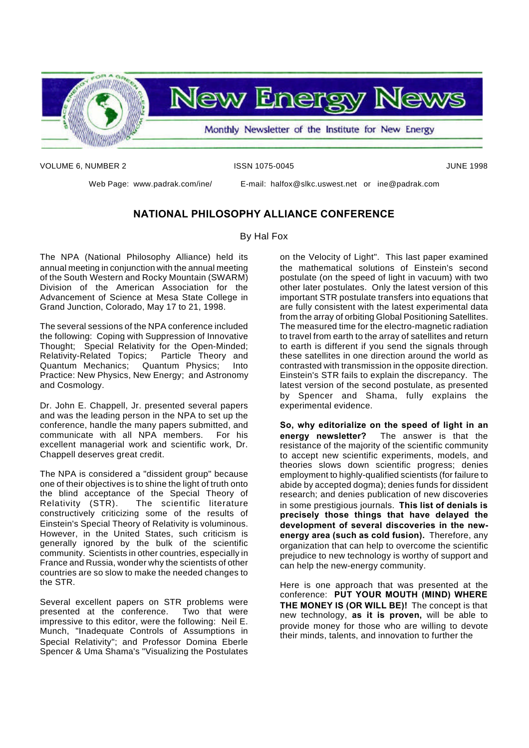

VOLUME 6, NUMBER 2 **ISSN 1075-0045** JUNE 1998

Web Page: www.padrak.com/ine/ E-mail: halfox@slkc.uswest.net or ine@padrak.com

#### **NATIONAL PHILOSOPHY ALLIANCE CONFERENCE**

By Hal Fox

The NPA (National Philosophy Alliance) held its annual meeting in conjunction with the annual meeting of the South Western and Rocky Mountain (SWARM) Division of the American Association for the Advancement of Science at Mesa State College in Grand Junction, Colorado, May 17 to 21, 1998.

The several sessions of the NPA conference included the following: Coping with Suppression of Innovative Thought; Special Relativity for the Open-Minded; Relativity-Related Topics; Particle Theory and Quantum Mechanics; Quantum Physics; Into Practice: New Physics, New Energy; and Astronomy and Cosmology.

Dr. John E. Chappell, Jr. presented several papers and was the leading person in the NPA to set up the conference, handle the many papers submitted, and communicate with all NPA members. For his excellent managerial work and scientific work, Dr. Chappell deserves great credit.

The NPA is considered a "dissident group" because one of their objectives is to shine the light of truth onto the blind acceptance of the Special Theory of Relativity (STR). The scientific literature constructively criticizing some of the results of Einstein's Special Theory of Relativity is voluminous. However, in the United States, such criticism is generally ignored by the bulk of the scientific community. Scientists in other countries, especially in France and Russia, wonder why the scientists of other countries are so slow to make the needed changes to the STR.

Several excellent papers on STR problems were presented at the conference. Two that were impressive to this editor, were the following: Neil E. Munch, "Inadequate Controls of Assumptions in Special Relativity"; and Professor Domina Eberle Spencer & Uma Shama's "Visualizing the Postulates

on the Velocity of Light". This last paper examined the mathematical solutions of Einstein's second postulate (on the speed of light in vacuum) with two other later postulates. Only the latest version of this important STR postulate transfers into equations that are fully consistent with the latest experimental data from the array of orbiting Global Positioning Satellites. The measured time for the electro-magnetic radiation to travel from earth to the array of satellites and return to earth is different if you send the signals through these satellites in one direction around the world as contrasted with transmission in the opposite direction. Einstein's STR fails to explain the discrepancy. The latest version of the second postulate, as presented by Spencer and Shama, fully explains the experimental evidence.

**So, why editorialize on the speed of light in an energy newsletter?** The answer is that the resistance of the majority of the scientific community to accept new scientific experiments, models, and theories slows down scientific progress; denies employment to highly-qualified scientists (for failure to abide by accepted dogma); denies funds for dissident research; and denies publication of new discoveries in some prestigious journals. **This list of denials is precisely those things that have delayed the development of several discoveries in the newenergy area (such as cold fusion).** Therefore, any organization that can help to overcome the scientific prejudice to new technology is worthy of support and can help the new-energy community.

Here is one approach that was presented at the conference: **PUT YOUR MOUTH (MIND) WHERE THE MONEY IS (OR WILL BE)!** The concept is that new technology, **as it is proven,** will be able to provide money for those who are willing to devote their minds, talents, and innovation to further the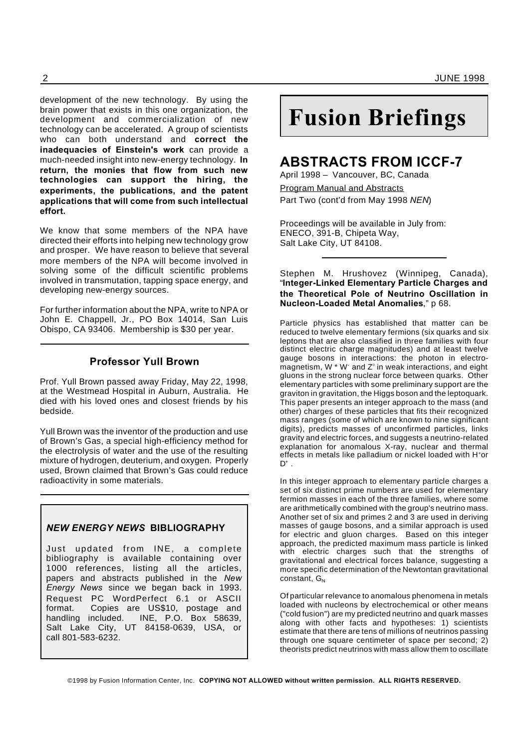development of the new technology. By using the brain power that exists in this one organization, the development and commercialization of new technology can be accelerated. A group of scientists who can both understand and **correct the inadequacies of Einstein's work** can provide a much-needed insight into new-energy technology. **In return, the monies that flow from such new technologies can support the hiring, the experiments, the publications, and the patent applications that will come from such intellectual effort.**

We know that some members of the NPA have directed their efforts into helping new technology grow and prosper. We have reason to believe that several more members of the NPA will become involved in solving some of the difficult scientific problems involved in transmutation, tapping space energy, and developing new-energy sources.

For further information about the NPA, write to NPA or John E. Chappell, Jr., PO Box 14014, San Luis Obispo, CA 93406. Membership is \$30 per year.

#### **Professor Yull Brown**

Prof. Yull Brown passed away Friday, May 22, 1998, at the Westmead Hospital in Auburn, Australia. He died with his loved ones and closest friends by his bedside.

Yull Brown was the inventor of the production and use of Brown's Gas, a special high-efficiency method for the electrolysis of water and the use of the resulting mixture of hydrogen, deuterium, and oxygen. Properly used, Brown claimed that Brown's Gas could reduce radioactivity in some materials.

#### *NEW ENERGY NEWS* **BIBLIOGRAPHY**

Just updated from INE, a complete bibliography is available containing over 1000 references, listing all the articles, papers and abstracts published in the *New Energy News* since we began back in 1993. Request PC WordPerfect 6.1 or ASCII format. Copies are US\$10, postage and handling included. INE, P.O. Box 58639, Salt Lake City, UT 84158-0639, USA, or call 801-583-6232.

# **Fusion Briefings**

### **ABSTRACTS FROM ICCF-7**

April 1998 – Vancouver, BC, Canada Program Manual and Abstracts Part Two (cont'd from May 1998 *NEN*)

Proceedings will be available in July from: ENECO, 391-B, Chipeta Way, Salt Lake City, UT 84108.

Stephen M. Hrushovez (Winnipeg, Canada), "**Integer-Linked Elementary Particle Charges and the Theoretical Pole of Neutrino Oscillation in Nucleon-Loaded Metal Anomalies**," p 68.

Particle physics has established that matter can be reduced to twelve elementary fermions (six quarks and six leptons that are also classified in three families with four distinct electric charge magnitudes) and at least twelve gauge bosons in interactions: the photon in electromagnetism, W  $*$  W $\cdot$  and Z $\circ$  in weak interactions, and eight gluons in the strong nuclear force between quarks. Other elementary particles with some preliminary support are the graviton in gravitation, the Higgs boson and the leptoquark. This paper presents an integer approach to the mass (and other) charges of these particles that fits their recognized mass ranges (some of which are known to nine significant digits), predicts masses of unconfirmed particles, links gravity and electric forces, and suggests a neutrino-related explanation for anomalous X-ray, nuclear and thermal effects in metals like palladium or nickel loaded with H<sup>+</sup>or  $\mathsf{D}^*$  .

In this integer approach to elementary particle charges a set of six distinct prime numbers are used for elementary fermion masses in each of the three families, where some are arithmetically combined with the group's neutrino mass. Another set of six and primes 2 and 3 are used in deriving masses of gauge bosons, and a similar approach is used for electric and gluon charges. Based on this integer approach, the predicted maximum mass particle is linked with electric charges such that the strengths of gravitational and electrical forces balance, suggesting a more specific determination of the Newtontan gravitational constant,  $G_{N}$ 

Of particular relevance to anomalous phenomena in metals loaded with nucleons by electrochemical or other means ("cold fusion") are my predicted neutrino and quark masses along with other facts and hypotheses: 1) scientists estimate that there are tens of millions of neutrinos passing through one square centimeter of space per second; 2) theorists predict neutrinos with mass allow them to oscillate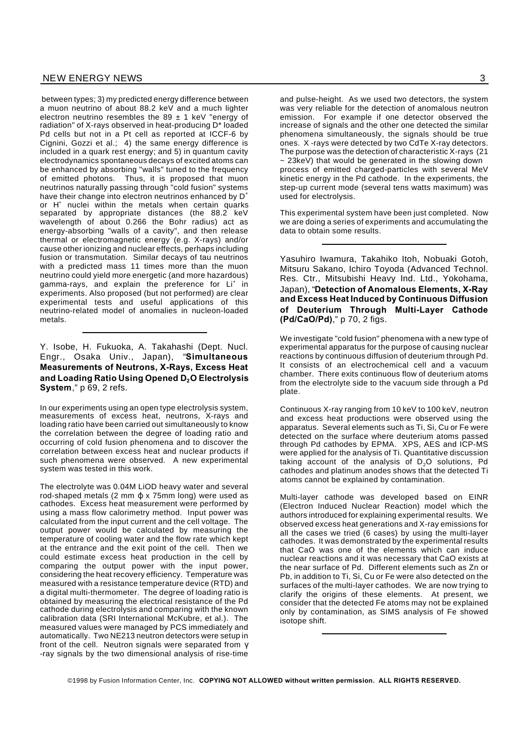between types; 3) my predicted energy difference between a muon neutrino of about 88.2 keV and a much lighter electron neutrino resembles the 89  $\pm$  1 keV "energy of radiation" of X-rays observed in heat-producing D\* loaded Pd cells but not in a Pt cell as reported at ICCF-6 by Cignini, Gozzi et al.; 4) the same energy difference is included in a quark rest energy; and 5) in quantum cavity electrodynamics spontaneous decays of excited atoms can be enhanced by absorbing "walls" tuned to the frequency of emitted photons. Thus, it is proposed that muon neutrinos naturally passing through "cold fusion" systems have their change into electron neutrinos enhanced by  $D^+$ or H<sup>+</sup> nuclei within the metals when certain quarks separated by appropriate distances (the 88.2 keV wavelength of about 0.266 the Bohr radius) act as energy-absorbing "walls of a cavity", and then release thermal or electromagnetic energy (e.g. X-rays) and/or cause other ionizing and nuclear effects, perhaps including fusion or transmutation. Similar decays of tau neutrinos with a predicted mass 11 times more than the muon neutrino could yield more energetic (and more hazardous) gamma-rays, and explain the preference for Li<sup>+</sup> in experiments. Also proposed (but not performed) are clear experimental tests and useful applications of this neutrino-related model of anomalies in nucleon-loaded metals.

Y. Isobe, H. Fukuoka, A. Takahashi (Dept. Nucl. Engr., Osaka Univ., Japan), "**Simultaneous Measurements of Neutrons, X-Rays, Excess Heat and Loading Ratio Using Opened D2O Electrolysis System**," p 69, 2 refs.

In our experiments using an open type electrolysis system, measurements of excess heat, neutrons, X-rays and loading ratio have been carried out simultaneously to know the correlation between the degree of loading ratio and occurring of cold fusion phenomena and to discover the correlation between excess heat and nuclear products if such phenomena were observed. A new experimental system was tested in this work.

The electrolyte was 0.04M LiOD heavy water and several rod-shaped metals (2 mm  $\phi$  x 75mm long) were used as cathodes. Excess heat measurement were performed by using a mass flow calorimetry method. Input power was calculated from the input current and the cell voltage. The output power would be calculated by measuring the temperature of cooling water and the flow rate which kept at the entrance and the exit point of the cell. Then we could estimate excess heat production in the cell by comparing the output power with the input power, considering the heat recovery efficiency. Temperature was measured with a resistance temperature device (RTD) and a digital multi-thermometer. The degree of loading ratio is obtained by measuring the electrical resistance of the Pd cathode during electrolysis and comparing with the known calibration data (SRI International McKubre, et al.). The measured values were managed by PCS immediately and automatically. Two NE213 neutron detectors were setup in front of the cell. Neutron signals were separated from  $y$ -ray signals by the two dimensional analysis of rise-time

and pulse-height. As we used two detectors, the system was very reliable for the detection of anomalous neutron emission. For example if one detector observed the increase of signals and the other one detected the similar phenomena simultaneously, the signals should be true ones. X -rays were detected by two CdTe X-ray detectors. The purpose was the detection of characteristic X-rays (21 ~ 23keV) that would be generated in the slowing down process of emitted charged-particles with several MeV kinetic energy in the Pd cathode. In the experiments, the step-up current mode (several tens watts maximum) was used for electrolysis.

This experimental system have been just completed. Now we are doing a series of experiments and accumulating the data to obtain some results.

Yasuhiro Iwamura, Takahiko Itoh, Nobuaki Gotoh, Mitsuru Sakano, Ichiro Toyoda (Advanced Technol. Res. Ctr., Mitsubishi Heavy Ind. Ltd., Yokohama, Japan), "**Detection of Anomalous Elements, X-Ray and Excess Heat Induced by Continuous Diffusion of Deuterium Through Multi-Layer Cathode (Pd/CaO/Pd)**," p 70, 2 figs.

We investigate "cold fusion" phenomena with a new type of experimental apparatus for the purpose of causing nuclear reactions by continuous diffusion of deuterium through Pd. It consists of an electrochemical cell and a vacuum chamber. There exits continuous flow of deuterium atoms from the electrolyte side to the vacuum side through a Pd plate.

Continuous X-ray ranging from 10 keV to 100 keV, neutron and excess heat productions were observed using the apparatus. Several elements such as Ti, Si, Cu or Fe were detected on the surface where deuterium atoms passed through Pd cathodes by EPMA. XPS, AES and ICP-MS were applied for the analysis of Ti. Quantitative discussion taking account of the analysis of  $D_2O$  solutions, Pd cathodes and platinum anodes shows that the detected Ti atoms cannot be explained by contamination.

Multi-layer cathode was developed based on EINR (Electron Induced Nuclear Reaction) model which the authors introduced for explaining experimental results. We observed excess heat generations and X-ray emissions for all the cases we tried (6 cases) by using the multi-layer cathodes. It was demonstrated by the experimental results that CaO was one of the elements which can induce nuclear reactions and it was necessary that CaO exists at the near surface of Pd. Different elements such as Zn or Pb, in addition to Ti, Si, Cu or Fe were also detected on the surfaces of the multi-layer cathodes. We are now trying to clarify the origins of these elements. At present, we consider that the detected Fe atoms may not be explained only by contamination, as SIMS analysis of Fe showed isotope shift.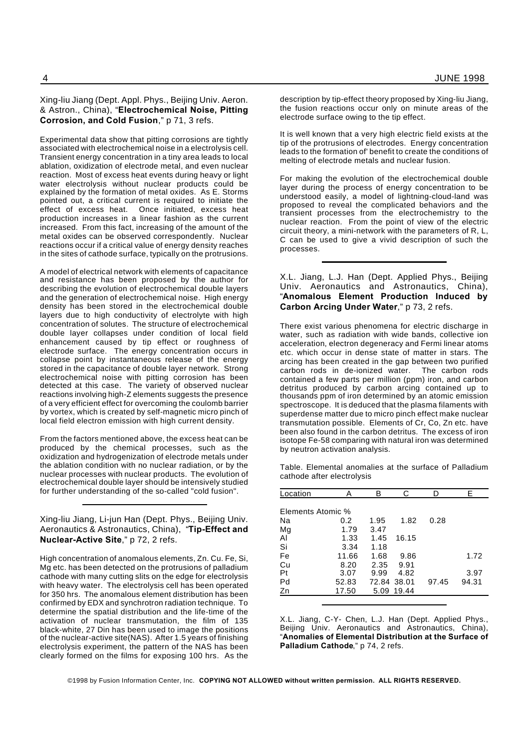#### Xing-liu Jiang (Dept. Appl. Phys., Beijing Univ. Aeron. & Astron., China), "**Electrochemical Noise, Pitting Corrosion, and Cold Fusion**," p 71, 3 refs.

Experimental data show that pitting corrosions are tightly associated with electrochemical noise in a electrolysis cell. Transient energy concentration in a tiny area leads to local ablation, oxidization of electrode metal, and even nuclear reaction. Most of excess heat events during heavy or light water electrolysis without nuclear products could be explained by the formation of metal oxides. As E. Storms pointed out, a critical current is required to initiate the effect of excess heat. Once initiated, excess heat production increases in a linear fashion as the current increased. From this fact, increasing of the amount of the metal oxides can be observed correspondently. Nuclear reactions occur if a critical value of energy density reaches in the sites of cathode surface, typically on the protrusions.

A model of electrical network with elements of capacitance and resistance has been proposed by the author for describing the evolution of electrochemical double layers and the generation of electrochemical noise. High energy density has been stored in the electrochemical double layers due to high conductivity of electrolyte with high concentration of solutes. The structure of electrochemical double layer collapses under condition of local field enhancement caused by tip effect or roughness of electrode surface. The energy concentration occurs in collapse point by instantaneous release of the energy stored in the capacitance of double layer network. Strong electrochemical noise with pitting corrosion has been detected at this case. The variety of observed nuclear reactions involving high-Z elements suggests the presence of a very efficient effect for overcoming the coulomb barrier by vortex, which is created by self-magnetic micro pinch of local field electron emission with high current density.

From the factors mentioned above, the excess heat can be produced by the chemical processes, such as the oxidization and hydrogenization of electrode metals under the ablation condition with no nuclear radiation, or by the nuclear processes with nuclear products. The evolution of electrochemical double layer should be intensively studied for further understanding of the so-called "cold fusion".

Xing-liu Jiang, Li-jun Han (Dept. Phys., Beijing Univ. Aeronautics & Astronautics, China), "**Tip-Effect and Nuclear-Active Site**," p 72, 2 refs.

High concentration of anomalous elements, Zn. Cu. Fe, Si, Mg etc. has been detected on the protrusions of palladium cathode with many cutting slits on the edge for electrolysis with heavy water. The electrolysis cell has been operated for 350 hrs. The anomalous element distribution has been confirmed by EDX and synchrotron radiation technique. To determine the spatial distribution and the life-time of the activation of nuclear transmutation, the film of 135 black-white, 27 Din has been used to image the positions of the nuclear-active site(NAS). After 1.5 years of finishing electrolysis experiment, the pattern of the NAS has been clearly formed on the films for exposing 100 hrs. As the

description by tip-effect theory proposed by Xing-liu Jiang, the fusion reactions occur only on minute areas of the electrode surface owing to the tip effect.

It is well known that a very high electric field exists at the tip of the protrusions of electrodes. Energy concentration leads to the formation of' benefit to create the conditions of melting of electrode metals and nuclear fusion.

For making the evolution of the electrochemical double layer during the process of energy concentration to be understood easily, a model of lightning-cloud-land was proposed to reveal the complicated behaviors and the transient processes from the electrochemistry to the nuclear reaction. From the point of view of the electric circuit theory, a mini-network with the parameters of R, L, C can be used to give a vivid description of such the processes.

X.L. Jiang, L.J. Han (Dept. Applied Phys., Beijing Univ. Aeronautics and Astronautics, China), "**Anomalous Element Production Induced by Carbon Arcing Under Water**," p 73, 2 refs.

There exist various phenomena for electric discharge in water, such as radiation with wide bands, collective ion acceleration, electron degeneracy and Fermi linear atoms etc. which occur in dense state of matter in stars. The arcing has been created in the gap between two purified carbon rods in de-ionized water. The carbon rods contained a few parts per million (ppm) iron, and carbon detritus produced by carbon arcing contained up to thousands ppm of iron determined by an atomic emission spectroscope. It is deduced that the plasma filaments with superdense matter due to micro pinch effect make nuclear transmutation possible. Elements of Cr, Co, Zn etc. have been also found in the carbon detritus. The excess of iron isotope Fe-58 comparing with natural iron was determined by neutron activation analysis.

Table. Elemental anomalies at the surface of Palladium cathode after electrolysis

| Location          |       | в           | C.    |       | E.    |
|-------------------|-------|-------------|-------|-------|-------|
|                   |       |             |       |       |       |
| Elements Atomic % |       |             |       |       |       |
| Na                | 0.2   | 1.95        | 1.82  | 0.28  |       |
| Mg                | 1.79  | 3.47        |       |       |       |
| AI                | 1.33  | 1.45        | 16.15 |       |       |
| Si                | 3.34  | 1.18        |       |       |       |
| Fe                | 11.66 | 1.68        | 9.86  |       | 1.72  |
| Cu                | 8.20  | 2.35        | 9.91  |       |       |
| Pt                | 3.07  | 9.99        | 4.82  |       | 3.97  |
| Pd                | 52.83 | 72.84 38.01 |       | 97.45 | 94.31 |
| Zn                | 17.50 | 5.09        | 19.44 |       |       |
|                   |       |             |       |       |       |

X.L. Jiang, C-Y- Chen, L.J. Han (Dept. Applied Phys., Beijing Univ. Aeronautics and Astronautics, China), "**Anomalies of Elemental Distribution at the Surface of Palladium Cathode**," p 74, 2 refs.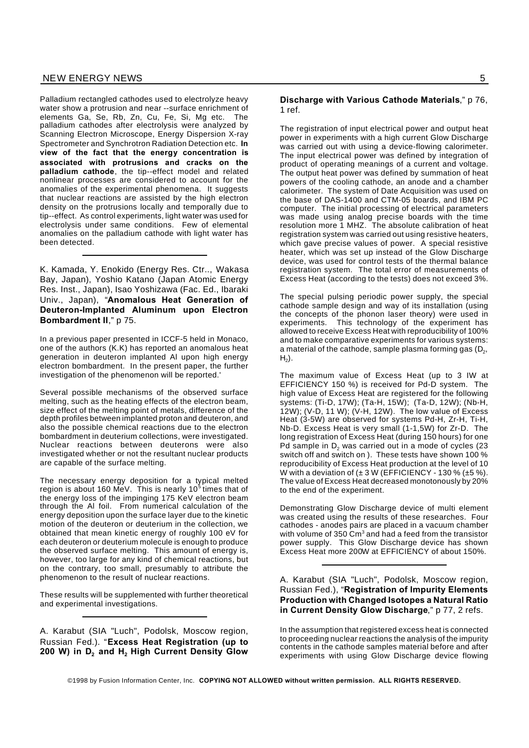Palladium rectangled cathodes used to electrolyze heavy water show a protrusion and near --surface enrichment of elements Ga, Se, Rb, Zn, Cu, Fe, Si, Mg etc. The palladium cathodes after electrolysis were analyzed by Scanning Electron Microscope, Energy Dispersion X-ray Spectrometer and Synchrotron Radiation Detection etc. **In view of the fact that the energy concentration is associated with protrusions and cracks on the palladium cathode**, the tip--effect model and related nonlinear processes are considered to account for the anomalies of the experimental phenomena. It suggests that nuclear reactions are assisted by the high electron density on the protrusions locally and temporally due to tip--effect. As control experiments, light water was used for electrolysis under same conditions. Few of elemental anomalies on the palladium cathode with light water has been detected.

K. Kamada, Y. Enokido (Energy Res. Ctr.., Wakasa Bay, Japan), Yoshio Katano (Japan Atomic Energy Res. Inst., Japan), Isao Yoshizawa (Fac. Ed., Ibaraki Univ., Japan), "**Anomalous Heat Generation of Deuteron-Implanted Aluminum upon Electron Bombardment II**," p 75.

In a previous paper presented in ICCF-5 held in Monaco, one of the authors (K.K) has reported an anomalous heat generation in deuteron implanted Al upon high energy electron bombardment. In the present paper, the further investigation of the phenomenon will be reported.'

Several possible mechanisms of the observed surface melting, such as the heating effects of the electron beam, size effect of the melting point of metals, difference of the depth profiles between implanted proton and deuteron, and also the possible chemical reactions due to the electron bombardment in deuterium collections, were investigated. Nuclear reactions between deuterons were also investigated whether or not the resultant nuclear products are capable of the surface melting.

The necessary energy deposition for a typical melted region is about 160 MeV. This is nearly 10 $^5$  times that of the energy loss of the impinging 175 KeV electron beam through the Al foil. From numerical calculation of the energy deposition upon the surface layer due to the kinetic motion of the deuteron or deuterium in the collection, we obtained that mean kinetic energy of roughly 100 eV for each deuteron or deuterium molecule is enough to produce the observed surface melting. This amount of energy is, however, too large for any kind of chemical reactions, but on the contrary, too small, presumably to attribute the phenomenon to the result of nuclear reactions.

These results will be supplemented with further theoretical and experimental investigations.

A. Karabut (SIA "Luch", Podolsk, Moscow region, Russian Fed.). "**Excess Heat Registration (up to 200 W) in D<sup>2</sup> and H<sup>2</sup> High Current Density Glow**

#### **Discharge with Various Cathode Materials**," p 76, 1 ref.

The registration of input electrical power and output heat power in experiments with a high current Glow Discharge was carried out with using a device-flowing calorimeter. The input electrical power was defined by integration of product of operating meanings of a current and voltage. The output heat power was defined by summation of heat powers of the cooling cathode, an anode and a chamber calorimeter. The system of Date Acquisition was used on the base of DAS-1400 and CTM-05 boards, and IBM PC computer. The initial processing of electrical parameters was made using analog precise boards with the time resolution more 1 MHZ. The absolute calibration of heat registration system was carried out using resistive heaters, which gave precise values of power. A special resistive heater, which was set up instead of the Glow Discharge device, was used for control tests of the thermal balance registration system. The total error of measurements of Excess Heat (according to the tests) does not exceed 3%.

The special pulsing periodic power supply, the special cathode sample design and way of its installation (using the concepts of the phonon laser theory) were used in experiments. This technology of the experiment has allowed to receive Excess Heat with reproducibility of 100% and to make comparative experiments for various systems: a material of the cathode, sample plasma forming gas (D $_{\rm 2}$ ,  $\mathsf{H}_2$ ).

The maximum value of Excess Heat (up to 3 IW at EFFICIENCY 150 %) is received for Pd-D system. The high value of Excess Heat are registered for the following systems: (Ti-D, 17W); (Ta-H, 15W); (Ta-D, 12W); (Nb-H, 12W); (V-D, 11 W); (V-H, 12W). The low value of Excess Heat (3-5W) are observed for systems Pd-H, Zr-H, Ti-H, Nb-D. Excess Heat is very small (1-1,5W) for Zr-D. The long registration of Excess Heat (during 150 hours) for one Pd sample in  $D<sub>2</sub>$  was carried out in a mode of cycles (23 switch off and switch on ). These tests have shown 100 % reproducibility of Excess Heat production at the level of 10 W with a deviation of  $(\pm 3 \text{ W}$  (EFFICIENCY - 130 %  $(\pm 5 \text{ %})$ ). The value of Excess Heat decreased monotonously by 20% to the end of the experiment.

Demonstrating Glow Discharge device of multi element was created using the results of these researches. Four cathodes - anodes pairs are placed in a vacuum chamber with volume of 350 Cm<sup>3</sup> and had a feed from the transistor power supply. This Glow Discharge device has shown Excess Heat more 200W at EFFICIENCY of about 150%.

A. Karabut (SIA "Luch", Podolsk, Moscow region, Russian Fed.), "**Registration of Impurity Elements Production with Changed Isotopes a Natural Ratio in Current Density Glow Discharge**," p 77, 2 refs.

In the assumption that registered excess heat is connected to proceeding nuclear reactions the analysis of the impurity contents in the cathode samples material before and after experiments with using Glow Discharge device flowing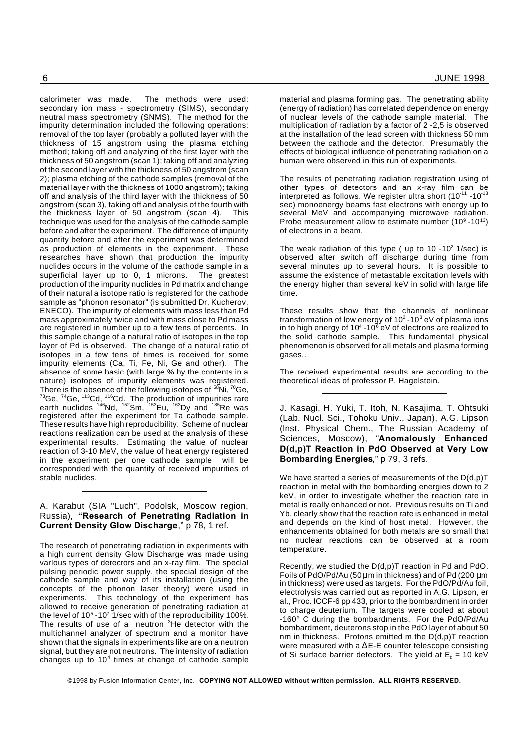calorimeter was made. The methods were used: secondary ion mass - spectrometry (SIMS), secondary material and plasma forming gas. The penetrating ability (energy of radiation) has correlated dependence on energy of nuclear levels of the cathode sample material. The multiplication of radiation by a factor of 2 -2,5 is observed at the installation of the lead screen with thickness 50 mm between the cathode and the detector. Presumably the effects of biological influence of penetrating radiation on a human were observed in this run of experiments. The results of penetrating radiation registration using of

other types of detectors and an x-ray film can be interpreted as follows. We register ultra short (10 $11$  -10 $13$ sec) monoenergy beams fast electrons with energy up to several MeV and accompanying microwave radiation. Probe measurement allow to estimate number  $(10^9 \text{ - } 10^{13})$ of electrons in a beam.

The weak radiation of this type ( up to  $10 - 10^2$  1/sec) is observed after switch off discharge during time from several minutes up to several hours. It is possible to assume the existence of metastable excitation levels with the energy higher than several keV in solid with large life time.

These results show that the channels of nonlinear transformation of low energy of 10 $^2$  -10 $^3$  eV of plasma ions in to high energy of 10<sup>4</sup> -10 $^{\rm 6}$  eV of electrons are realized to the solid cathode sample. This fundamental physical phenomenon is observed for all metals and plasma forming gases..

The received experimental results are according to the theoretical ideas of professor P. Hagelstein.

J. Kasagi, H. Yuki, T. Itoh, N. Kasajima, T. Ohtsuki (Lab. Nucl. Sci., Tohoku Univ., Japan), A.G. Lipson (lnst. Physical Chem., The Russian Academy of Sciences, Moscow), "**Anomalously Enhanced D(d,p)T Reaction in PdO Observed at Very Low Bombarding Energies**," p 79, 3 refs.

We have started a series of measurements of the  $D(d,p)T$ reaction in metal with the bombarding energies down to 2 keV, in order to investigate whether the reaction rate in metal is really enhanced or not. Previous results on Ti and Yb, clearly show that the reaction rate is enhanced in metal and depends on the kind of host metal. However, the enhancements obtained for both metals are so small that no nuclear reactions can be observed at a room temperature.

Recently, we studied the D(d,p)T reaction in Pd and PdO. Foils of PdO/Pd/Au (50 µm in thickness) and of Pd (200 µm in thickness) were used as targets. For the PdO/Pd/Au foil, electrolysis was carried out as reported in A.G. Lipson, er al., Proc. ICCF-6 pp 433, prior to the bombardment in order to charge deuterium. The targets were cooled at about -160° C during the bombardments. For the PdO/Pd/Au bombardment, deuterons stop in the PdO layer of about 50 nm in thickness. Protons emitted m the D(d,p)T reaction were measured with a  $\Delta$ E-E counter telescope consisting of Si surface barrier detectors. The yield at  $E_d = 10$  keV

neutral mass spectrometry (SNMS). The method for the impurity determination included the following operations: removal of the top layer (probably a polluted layer with the thickness of 15 angstrom using the plasma etching method; taking off and analyzing of the first layer with the thickness of 50 angstrom (scan 1); taking off and analyzing of the second layer with the thickness of 50 angstrom (scan 2); plasma etching of the cathode samples (removal of the material layer with the thickness of 1000 angstrom); taking off and analysis of the third layer with the thickness of 50 angstrom (scan 3), taking off and analysis of the fourth with the thickness layer of 50 angstrom (scan 4). This technique was used for the analysis of the cathode sample before and after the experiment. The difference of impurity quantity before and after the experiment was determined as production of elements in the experiment. These researches have shown that production the impurity nuclides occurs in the volume of the cathode sample in a superficial layer up to 0, 1 microns. The greatest production of the impurity nuclides in Pd matrix and change of their natural a isotope ratio is registered for the cathode sample as "phonon resonator" (is submitted Dr. Kucherov, ENECO). The impurity of elements with mass less than Pd mass approximately twice and with mass close to Pd mass are registered in number up to a few tens of percents. In this sample change of a natural ratio of isotopes in the top layer of Pd is observed. The change of a natural ratio of isotopes in a few tens of times is received for some impurity elements (Ca, Ti, Fe, Ni, Ge and other). The absence of some basic (with large % by the contents in a nature) isotopes of impurity elements was registered. There is the absence of the following isotopes of  $58$ Ni,  $70$ Ge,  $^{73}$ Ge,  $^{74}$ Ge,  $^{113}$ Cd,  $^{116}$ Cd. The production of impurities rare earth nuclides <sup>146</sup>Nd, <sup>152</sup>Sm, <sup>153</sup>Eu, <sup>163</sup>Dy and <sup>185</sup>Re was registered after the experiment for Ta cathode sample. These results have high reproducibility. Scheme of nuclear reactions realization can be used at the analysis of these experimental results. Estimating the value of nuclear reaction of 3-10 MeV, the value of heat energy registered in the experiment per one cathode sample will be corresponded with the quantity of received impurities of stable nuclides.

#### A. Karabut (SIA "Luch", Podolsk, Moscow region, Russia), **"Research of Penetrating Radiation in Current Density Glow Discharge**," p 78, 1 ref.

The research of penetrating radiation in experiments with a high current density Glow Discharge was made using various types of detectors and an x-ray film. The special pulsing periodic power supply, the special design of the cathode sample and way of its installation (using the concepts of the phonon laser theory) were used in experiments. This technology of the experiment has allowed to receive generation of penetrating radiation at the level of  $10^5$  -10<sup>7</sup> 1/sec with of the reproducibility 100%. The results of use of a neutron  $3$ He detector with the multichannel analyzer of spectrum and a monitor have shown that the signals in experiments like are on a neutron signal, but they are not neutrons. The intensity of radiation changes up to  $10<sup>4</sup>$  times at change of cathode sample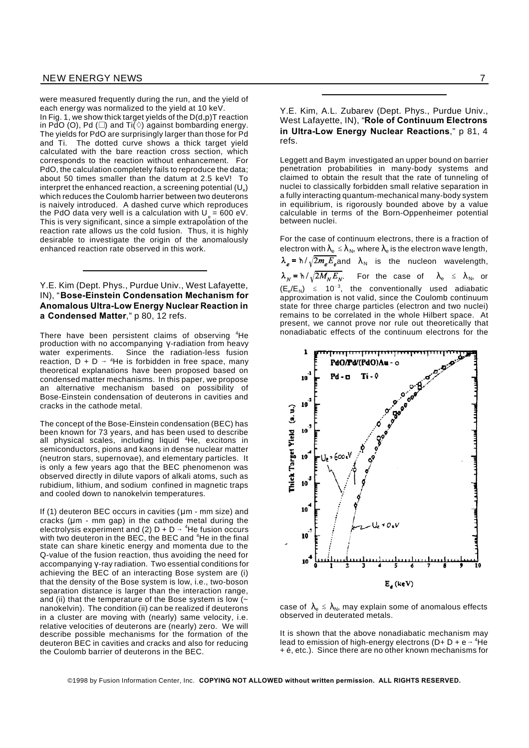were measured frequently during the run, and the yield of each energy was normalized to the yield at 10 keV. In Fig. 1, we show thick target yields of the D(d,p)T reaction

in PdO (O), Pd ( $\square$ ) and Ti $\check{\langle} \diamond$ ) against bombarding energy. The yields for PdO are surprisingly larger than those for Pd and Ti. The dotted curve shows a thick target yield calculated with the bare reaction cross section, which corresponds to the reaction without enhancement. For PdO, the calculation completely fails to reproduce the data; about 50 times smaller than the datum at 2.5 keV! To interpret the enhanced reaction, a screening potential (U $_{\rm e}$ ) which reduces the Coulomb harrier between two deuterons is naively introduced. A dashed curve which reproduces the PdO data very well is a calculation with U $_{\circ}$  = 600 eV. This is very significant, since a simple extrapolation of the reaction rate allows us the cold fusion. Thus, it is highly desirable to investigate the origin of the anomalously enhanced reaction rate observed in this work.

Y.E. Kim (Dept. Phys., Purdue Univ., West Lafayette, IN), "**Bose-Einstein Condensation Mechanism for Anomalous Ultra-Low Energy Nuclear Reaction in a Condensed Matter**," p 80, 12 refs.

There have been persistent claims of observing <sup>4</sup>He production with no accompanying  $\gamma$ -radiation from heavy water experiments. Since the radiation-less fusion reaction,  $D + D \rightarrow {}^4He$  is forbidden in free space, many theoretical explanations have been proposed based on condensed matter mechanisms. In this paper, we propose an alternative mechanism based on possibility of Bose-Einstein condensation of deuterons in cavities and cracks in the cathode metal.

The concept of the Bose-Einstein condensation (BEC) has been known for 73 years, and has been used to describe all physical scales, including liquid <sup>4</sup>He, excitons in semiconductors, pions and kaons in dense nuclear matter (neutron stars, supernovae), and elementary particles. It is only a few years ago that the BEC phenomenon was observed directly in dilute vapors of alkali atoms, such as rubidium, lithium, and sodium confined in magnetic traps and cooled down to nanokelvin temperatures.

If (1) deuteron BEC occurs in cavities ( $\mu$ m - mm size) and cracks ( $\mu$ m - mm gap) in the cathode metal during the electrolysis experiment and (2) D + D  $\rightarrow$  <sup>4</sup>He fusion occurs with two deuteron in the BEC, the BEC and <sup>4</sup>He in the final state can share kinetic energy and momenta due to the Q-value of the fusion reaction, thus avoiding the need for accompanying Y-ray radiation. Two essential conditions for achieving the BEC of an interacting Bose system are (i) that the density of the Bose system is low, i.e., two-boson separation distance is larger than the interaction range, and (ii) that the temperature of the Bose system is low  $($   $\sim$ nanokelvin). The condition (ii) can be realized if deuterons in a cluster are moving with (nearly) same velocity, i.e. relative velocities of deuterons are (nearly) zero. We will describe possible mechanisms for the formation of the deuteron BEC in cavities and cracks and also for reducing the Coulomb barrier of deuterons in the BEC.

Y.E. Kim, A.L. Zubarev (Dept. Phys., Purdue Univ., West Lafayette, IN), "**Role of Continuum Electrons in Ultra-Low Energy Nuclear Reactions**," p 81, 4 refs.

Leggett and Baym investigated an upper bound on barrier penetration probabilities in many-body systems and claimed to obtain the result that the rate of tunneling of nuclei to classically forbidden small relative separation in a fully interacting quantum-mechanical many-body system in equilibrium, is rigorously bounded above by a value calculable in terms of the Born-Oppenheimer potential between nuclei.

For the case of continuum electrons, there is a fraction of electron with  $\lambda_{\rm e} \le \lambda_{\rm N}$ , where  $\lambda_{\rm e}$  is the electron wave length,  $\lambda_e = \hbar / \sqrt{2m_e E_e}$  and  $\lambda_N$  is the nucleon wavelength,  $\lambda_N = \hbar / \sqrt{2M_N E_N}$ . For the case of  $\lambda_e \le \lambda_N$ , or  $(E_e/E_N) \leq 10^{-3}$ , the conventionally used adiabatic approximation is not valid, since the Coulomb continuum state for three charge particles (electron and two nuclei) remains to be correlated in the whole Hilbert space. At present, we cannot prove nor rule out theoretically that nonadiabatic effects of the continuum electrons for the



case of  $\lambda_{\rm e} \leq \lambda_{\rm N}$ , may explain some of anomalous effects observed in deuterated metals.

It is shown that the above nonadiabatic mechanism may lead to emission of high-energy electrons ( $D + D + e \rightarrow {}^{4}He$ + é, etc.). Since there are no other known mechanisms for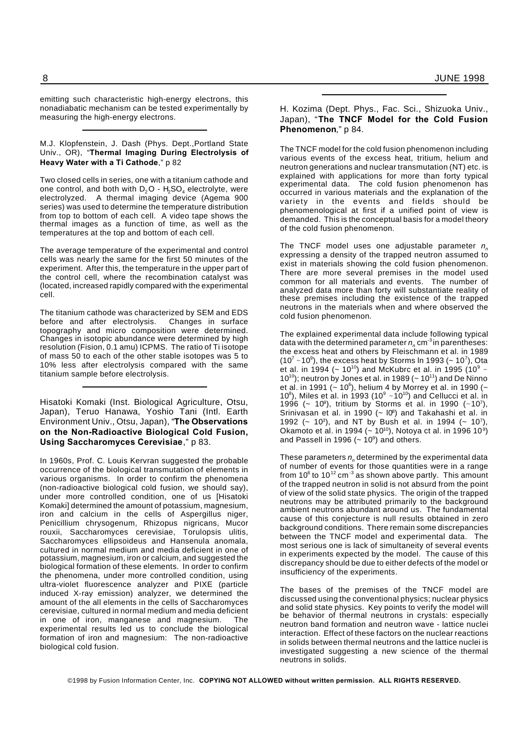emitting such characteristic high-energy electrons, this nonadiabatic mechanism can be tested experimentally by measuring the high-energy electrons.

#### M.J. Klopfenstein, J. Dash (Phys. Dept.,Portland State Univ., OR), "**Thermal Imaging During Electrolysis of Heavy Water with a Ti Cathode**," p 82

Two closed cells in series, one with a titanium cathode and one control, and both with  $D_2O - H_2SO_4$  electrolyte, were electrolyzed. A thermal imaging device (Agema 900 series) was used to determine the temperature distribution from top to bottom of each cell. A video tape shows the thermal images as a function of time, as well as the temperatures at the top and bottom of each cell.

The average temperature of the experimental and control cells was nearly the same for the first 50 minutes of the experiment. After this, the temperature in the upper part of the control cell, where the recombination catalyst was (located, increased rapidly compared with the experimental cell.

The titanium cathode was characterized by SEM and EDS before and after electrolysis. Changes in surface topography and micro composition were determined. Changes in isotopic abundance were determined by high resolution (Fision, 0.1 amu) ICPMS. The ratio of Ti isotope of mass 50 to each of the other stable isotopes was 5 to 10% less after electrolysis compared with the same titanium sample before electrolysis.

Hisatoki Komaki (Inst. Biological Agriculture, Otsu, Japan), Teruo Hanawa, Yoshio Tani (Intl. Earth Environment Univ., Otsu, Japan), "**The Observations on the Non-Radioactive Biological Cold Fusion, Using Saccharomyces Cerevisiae**," p 83.

In 1960s, Prof. C. Louis Kervran suggested the probable occurrence of the biological transmutation of elements in various organisms. In order to confirm the phenomena (non-radioactive biological cold fusion, we should say), under more controlled condition, one of us [Hisatoki Komaki] determined the amount of potassium, magnesium, iron and calcium in the cells of Aspergillus niger, Penicillium chrysogenum, Rhizopus nigricans, Mucor rouxii, Saccharomyces cerevisiae, Torulopsis ulitis, Saccharomyces ellipsoideus and Hansenula anomala, cultured in normal medium and media deficient in one of potassium, magnesium, iron or calcium, and suggested the biological formation of these elements. In order to confirm the phenomena, under more controlled condition, using ultra-violet fluorescence analyzer and PIXE (particle induced X-ray emission) analyzer, we determined the amount of the all elements in the cells of Saccharomyces cerevisiae, cultured in normal medium and media deficient in one of iron, manganese and magnesium. The experimental results led us to conclude the biological formation of iron and magnesium: The non-radioactive biological cold fusion.

#### H. Kozima (Dept. Phys., Fac. Sci., Shizuoka Univ., Japan), "**The TNCF Model for the Cold Fusion Phenomenon**," p 84.

The TNCF model for the cold fusion phenomenon including various events of the excess heat, tritium, helium and neutron generations and nuclear transmutation (NT) etc. is explained with applications for more than forty typical experimental data. The cold fusion phenomenon has occurred in various materials and the explanation of the variety in the events and fields should be phenomenological at first if a unified point of view is demanded. This is the conceptual basis for a model theory of the cold fusion phenomenon.

The TNCF model uses one adjustable parameter *n<sup>n</sup>* expressing a density of the trapped neutron assumed to exist in materials showing the cold fusion phenomenon. There are more several premises in the model used common for all materials and events. The number of analyzed data more than forty will substantiate reality of these premises including the existence of the trapped neutrons in the materials when and where observed the cold fusion phenomenon.

The explained experimental data include following typical data with the determined parameter  $n_{\scriptscriptstyle n}$  cm $^3$ in parentheses: the excess heat and others by Fleischmann et al. in 1989 (10 $^7$  ~10 $^9$ ), the excess heat by Storms In 1993 (~ 10 $^7$ ), Ota et al. in 1994 (~ 10<sup>10</sup>) and McKubrc et al. in 1995 (10<sup>9</sup> ~  $10^{10}$ ); neutron by Jones et al. in 1989 ( $\sim 10^{11}$ ) and De Ninno et al. in 1991 (~ 10 $^6$ ), helium 4 by Morrey et al. in 1990 (~ 10<sup>8</sup>), Miles et al. in 1993 (10 $^9$  ~10<sup>10</sup>) and Cellucci et al. in 1996 (~ 10<sup>9</sup>), tritium by Storms et al. in 1990 (~10<sup>7</sup>), Srinivasan et al. in 1990 (~ l0<sup>8</sup>) and Takahashi et al. in 1992 ( $\sim$  10<sup>3</sup>), and NT by Bush et al. in 1994 ( $\sim$  10<sup>7</sup>), Okamoto et al. in 1994 (~ 10<sup>10</sup>), Notoya ct al. in 1996 10<sup>9</sup>) and Passell in 1996  $(-10^9)$  and others.

These parameters *n<sup>n</sup>* determined by the experimental data of number of events for those quantities were in a range from 10 $^6$  to 10 $^{12}$  cm $^{\text{-3}}$  as shown above partly. This amount of the trapped neutron in solid is not absurd from the point of view of the solid state physics. The origin of the trapped neutrons may be attributed primarily to the background ambient neutrons abundant around us. The fundamental cause of this conjecture is null results obtained in zero background conditions. There remain some discrepancies between the TNCF model and experimental data. The most serious one is lack of simultaneity of several events in experiments expected by the model. The cause of this discrepancy should be due to either defects of the model or insufficiency of the experiments.

The bases of the premises of the TNCF model are discussed using the conventional physics; nuclear physics and solid state physics. Key points to verify the model will be behavior of thermal neutrons in crystals: especially neutron band formation and neutron wave - lattice nuclei interaction. Effect of these factors on the nuclear reactions in solids between thermal neutrons and the lattice nuclei is investigated suggesting a new science of the thermal neutrons in solids.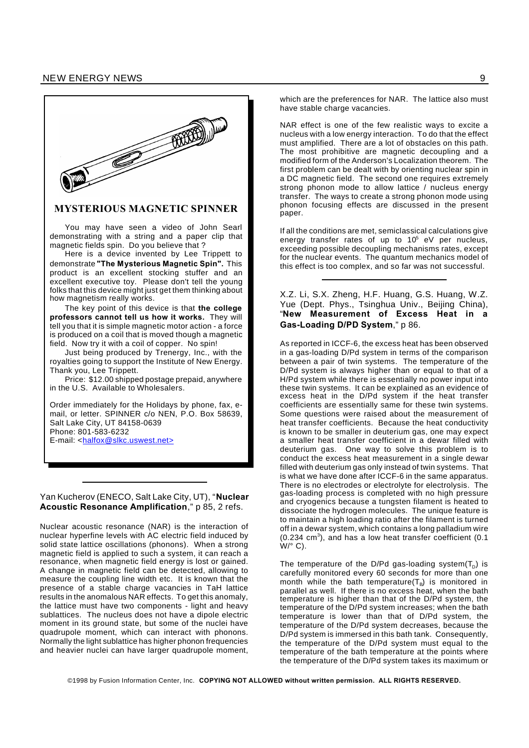

#### **MYSTERIOUS MAGNETIC SPINNER**

You may have seen a video of John Searl demonstrating with a string and a paper clip that magnetic fields spin. Do you believe that ?

Here is a device invented by Lee Trippett to demonstrate **"The Mysterious Magnetic Spin".** This product is an excellent stocking stuffer and an excellent executive toy. Please don't tell the young folks that this device might just get them thinking about how magnetism really works.

The key point of this device is that **the college professors cannot tell us how it works.** They will tell you that it is simple magnetic motor action - a force is produced on a coil that is moved though a magnetic field. Now try it with a coil of copper. No spin!

Just being produced by Trenergy, Inc., with the royalties going to support the Institute of New Energy. Thank you, Lee Trippett.

Price: \$12.00 shipped postage prepaid, anywhere in the U.S. Available to Wholesalers.

Order immediately for the Holidays by phone, fax, email, or letter. SPINNER c/o NEN, P.O. Box 58639, Salt Lake City, UT 84158-0639 Phone: 801-583-6232 E-mail: <halfox@slkc.uswest.net>

Yan Kucherov (ENECO, Salt Lake City, UT), "**Nuclear Acoustic Resonance Amplification**," p 85, 2 refs.

Nuclear acoustic resonance (NAR) is the interaction of nuclear hyperfine levels with AC electric field induced by solid state lattice oscillations (phonons). When a strong magnetic field is applied to such a system, it can reach a resonance, when magnetic field energy is lost or gained. A change in magnetic field can be detected, allowing to measure the coupling line width etc. It is known that the presence of a stable charge vacancies in TaH lattice results in the anomalous NAR effects. To get this anomaly, the lattice must have two components - light and heavy sublattices. The nucleus does not have a dipole electric moment in its ground state, but some of the nuclei have quadrupole moment, which can interact with phonons. Normally the light sublattice has higher phonon frequencies and heavier nuclei can have larger quadrupole moment,

which are the preferences for NAR. The lattice also must have stable charge vacancies.

NAR effect is one of the few realistic ways to excite a nucleus with a low energy interaction. To do that the effect must amplified. There are a lot of obstacles on this path. The most prohibitive are magnetic decoupling and a modified form of the Anderson's Localization theorem. The first problem can be dealt with by orienting nuclear spin in a DC magnetic field. The second one requires extremely strong phonon mode to allow lattice / nucleus energy transfer. The ways to create a strong phonon mode using phonon focusing effects are discussed in the present paper.

If all the conditions are met, semiclassical calculations give energy transfer rates of up to  $10^5$  eV per nucleus, exceeding possible decoupling mechanisms rates, except for the nuclear events. The quantum mechanics model of this effect is too complex, and so far was not successful.

X.Z. Li, S.X. Zheng, H.F. Huang, G.S. Huang, W.Z. Yue (Dept. Phys., Tsinghua Univ., Beijing China), "**New Measurement of Excess Heat in a Gas-Loading D/PD System**," p 86.

As reported in ICCF-6, the excess heat has been observed in a gas-loading D/Pd system in terms of the comparison between a pair of twin systems. The temperature of the D/Pd system is always higher than or equal to that of a H/Pd system while there is essentially no power input into these twin systems. It can be explained as an evidence of excess heat in the D/Pd system if the heat transfer coefficients are essentially same for these twin systems. Some questions were raised about the measurement of heat transfer coefficients. Because the heat conductivity is known to be smaller in deuterium gas, one may expect a smaller heat transfer coefficient in a dewar filled with deuterium gas. One way to solve this problem is to conduct the excess heat measurement in a single dewar filled with deuterium gas only instead of twin systems. That is what we have done after ICCF-6 in the same apparatus. There is no electrodes or electrolyte for electrolysis. The gas-loading process is completed with no high pressure and cryogenics because a tungsten filament is heated to dissociate the hydrogen molecules. The unique feature is to maintain a high loading ratio after the filament is turned off in a dewar system, which contains a long palladium wire  $(0.234 \text{ cm}^3)$ , and has a low heat transfer coefficient  $(0.1$  $W$ <sup>o</sup> C).

The temperature of the D/Pd gas-loading system(T<sub>D</sub>) is carefully monitored every 60 seconds for more than one month while the bath temperature(T<sub>B</sub>) is monitored in parallel as well. If there is no excess heat, when the bath temperature is higher than that of the D/Pd system, the temperature of the D/Pd system increases; when the bath temperature is lower than that of D/Pd system, the temperature of the D/Pd system decreases, because the D/Pd system is immersed in this bath tank. Consequently, the temperature of the D/Pd system must equal to the temperature of the bath temperature at the points where the temperature of the D/Pd system takes its maximum or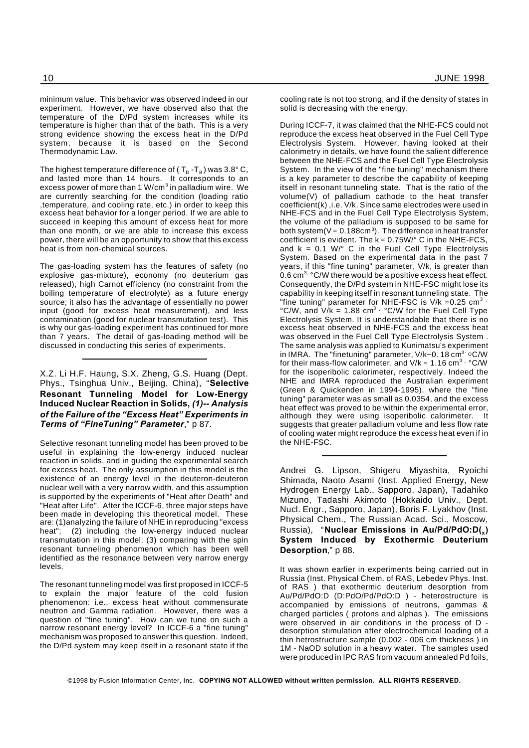minimum value. This behavior was observed indeed in our experiment. However, we have observed also that the temperature of the D/Pd system increases while its temperature is higher than that of the bath. This is a very strong evidence showing the excess heat in the D/Pd system, because it is based on the Second Thermodynamic Law.

The highest temperature difference of (  ${\mathsf T}_{\text{\tiny D}}$  -T $_{\text{\tiny B}}$  ) was 3.8° C, and lasted more than 14 hours. It corresponds to an excess power of more than 1 W/cm $^3$  in palladium wire. We are currently searching for the condition (loading ratio ,temperature, and cooling rate, etc.) in order to keep this excess heat behavior for a longer period. If we are able to succeed in keeping this amount of excess heat for more than one month, or we are able to increase this excess power, there will be an opportunity to show that this excess heat is from non-chemical sources.

The gas-loading system has the features of safety (no explosive gas-mixture), economy (no deuterium gas released), high Carnot efficiency (no constraint from the boiling temperature of electrolyte) as a future energy source; it also has the advantage of essentially no power input (good for excess heat measurement), and less contamination (good for nuclear transmutation test). This is why our gas-loading experiment has continued for more than 7 years. The detail of gas-loading method will be discussed in conducting this series of experiments.

X.Z. Li H.F. Haung, S.X. Zheng, G.S. Huang (Dept. Phys., Tsinghua Univ., Beijing, China), "**Selective Resonant Tunneling Model for Low-Energy Induced Nuclear Reaction in Solids,** *(1)-- Analysis of the Failure of the "Excess Heat" Experiments in Terms of "FineTuning" Parameter*," p 87.

Selective resonant tunneling model has been proved to be useful in explaining the low-energy induced nuclear reaction in solids, and in guiding the experimental search for excess heat. The only assumption in this model is the existence of an energy level in the deuteron-deuteron nuclear well with a very narrow width, and this assumption is supported by the experiments of "Heat after Death" and "Heat after Life". After the ICCF-6, three major steps have been made in developing this theoretical model. These are: (1)analyzing the failure of NHE in reproducing "excess heat"; (2) including the low-energy induced nuclear transmutation in this model; (3) comparing with the spin resonant tunneling phenomenon which has been well identified as the resonance between very narrow energy levels.

The resonant tunneling model was first proposed in ICCF-5 to explain the major feature of the cold fusion phenomenon: i.e., excess heat without commensurate neutron and Gamma radiation. However, there was a question of "fine tuning". How can we tune on such a narrow resonant energy level? In ICCF-6 a "fine tuning" mechanism was proposed to answer this question. Indeed, the D/Pd system may keep itself in a resonant state if the

cooling rate is not too strong, and if the density of states in solid is decreasing with the energy.

During ICCF-7, it was claimed that the NHE-FCS could not reproduce the excess heat observed in the Fuel Cell Type Electrolysis System. However, having looked at their calorimetry in details, we have found the salient difference between the NHE-FCS and the Fuel Cell Type Electrolysis System. In the view of the "fine tuning" mechanism there is a key parameter to describe the capability of keeping itself in resonant tunneling state. That is the ratio of the volume(V) of palladium cathode to the heat transfer coefficient(k) ,i.e. V/k. Since same electrodes were used in NHE-FCS and in the Fuel Cell Type Electrolysis System, the volume of the palladium is supposed to be same for both system(V  $\approx$  0.188cm $^3$ ). The difference in heat transfer coefficient is evident. The  $k \approx 0.75W$ <sup>o</sup> C in the NHE-FCS, and  $k = 0.1$  W/ $\degree$  C in the Fuel Cell Type Electrolysis System. Based on the experimental data in the past 7 years, if this "fine tuning" parameter, V/k, is greater than 0.6 cm<sup>3.</sup> °C/W there would be a positive excess heat effect. Consequently, the D/Pd system in NHE-FSC might lose its capability in keeping itself in resonant tunneling state. The "fine tuning" parameter for NHE-FSC is V/k  $\approx$  0.25 cm<sup>3</sup> · °C/W, and  $V/k = 1.88$  cm<sup>3</sup> °C/W for the Fuel Cell Type Electrolysis System. It is understandable that there is no excess heat observed in NHE-FCS and the excess heat was observed in the Fuel Cell Type Electrolysis System . The same analysis was applied to Kunimatsu's experiment in IMRA. The "finetuning" parameter, V/k~0. 18 cm<sup>3</sup> °C/W for their mass-flow calorimeter, and V/k  $\approx$  1.16 cm<sup>3</sup>  $\cdot$  °C/W for the isoperibolic calorimeter, respectively. Indeed the NHE and IMRA reproduced the Australian experiment (Green & Quickenden in 1994-1995), where the "fine tuning" parameter was as small as 0.0354, and the excess heat effect was proved to be within the experimental error, although they were using isoperibolic calorimeter. It suggests that greater palladium volume and less flow rate of cooling water might reproduce the excess heat even if in the NHE-FSC.

Andrei G. Lipson, Shigeru Miyashita, Ryoichi Shimada, Naoto Asami (Inst. Applied Energy, New Hydrogen Energy Lab., Sapporo, Japan), Tadahiko Mizuno, Tadashi Akimoto (Hokkaido Univ., Dept. Nucl. Engr., Sapporo, Japan), Boris F. Lyakhov (Inst. Physical Chem., The Russian Acad. Sci., Moscow, Russia), "**Nuclear Emissions in Au/Pd/PdO:D(<sup>x</sup> ) System Induced by Exothermic Deuterium Desorption**," p 88.

It was shown earlier in experiments being carried out in Russia (Inst. Physical Chem. of RAS, Lebedev Phys. Inst. of RAS ) that exothermic deuterium desorption from Au/Pd/PdO:D (D:PdO/Pd/PdO:D ) - heterostructure is accompanied by emissions of neutrons, gammas & charged particles ( protons and alphas ). The emissions were observed in air conditions in the process of D desorption stimulation after electrochemical loading of a thin hetrostructure sample (0.002 - 006 cm thickness ) in 1M - NaOD solution in a heavy water. The samples used were produced in IPC RAS from vacuum annealed Pd foils,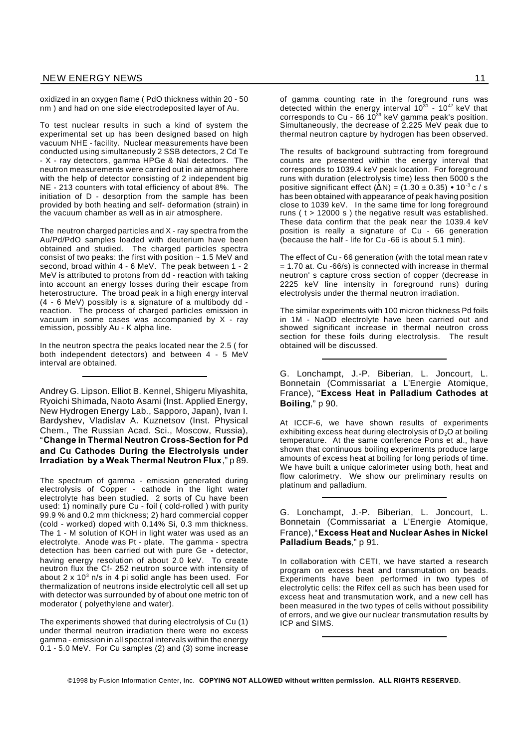oxidized in an oxygen flame ( PdO thickness within 20 - 50 nm ) and had on one side electrodeposited layer of Au.

To test nuclear results in such a kind of system the experimental set up has been designed based on high vacuum NHE - facility. Nuclear measurements have been conducted using simultaneously 2 SSB detectors, 2 Cd Te - X - ray detectors, gamma HPGe & NaI detectors. The neutron measurements were carried out in air atmosphere with the help of detector consisting of 2 independent big NE - 213 counters with total efficiency of about 8%. The initiation of D - desorption from the sample has been provided by both heating and self- deformation (strain) in the vacuum chamber as well as in air atmosphere.

The neutron charged particles and X - ray spectra from the Au/Pd/PdO samples loaded with deuterium have been obtained and studied. The charged particles spectra consist of two peaks: the first with position  $\sim 1.5$  MeV and second, broad within 4 - 6 MeV. The peak between 1 - 2 MeV is attributed to protons from dd - reaction with taking into account an energy losses during their escape from heterostructure. The broad peak in a high energy interval (4 - 6 MeV) possibly is a signature of a multibody dd reaction. The process of charged particles emission in vacuum in some cases was accompanied by X - ray emission, possibly Au - K alpha line.

In the neutron spectra the peaks located near the 2.5 ( for both independent detectors) and between 4 - 5 MeV interval are obtained.

Andrey G. Lipson. Elliot B. Kennel, Shigeru Miyashita, Ryoichi Shimada, Naoto Asami (Inst. Applied Energy, New Hydrogen Energy Lab., Sapporo, Japan), Ivan I. Bardyshev, Vladislav A. Kuznetsov (Inst. Physical Chem., The Russian Acad. Sci., Moscow, Russia), "**Change in Thermal Neutron Cross-Section for Pd and Cu Cathodes During the Electrolysis under Irradiation by a Weak Thermal Neutron Flux**," p 89.

The spectrum of gamma - emission generated during electrolysis of Copper - cathode in the light water electrolyte has been studied. 2 sorts of Cu have been used: 1) nominally pure Cu - foil ( cold-rolled ) with purity 99.9 % and 0.2 mm thickness; 2) hard commercial copper (cold - worked) doped with 0.14% Si, 0.3 mm thickness. The 1 - M solution of KOH in light water was used as an electrolyte. Anode was Pt - plate. The gamma - spectra detection has been carried out with pure Ge **-** detector, having energy resolution of about 2.0 keV. To create neutron flux the Cf- 252 neutron source with intensity of about 2 x 10 $3$  n/s in 4 pi solid angle has been used. For thermalization of neutrons inside electrolytic cell all set up with detector was surrounded by of about one metric ton of moderator ( polyethylene and water).

The experiments showed that during electrolysis of Cu (1) under thermal neutron irradiation there were no excess gamma - emission in all spectral intervals within the energy 0.1 - 5.0 MeV. For Cu samples (2) and (3) some increase

of gamma counting rate in the foreground runs was detected within the energy interval 10 $31$  - 10 $47$  keV that corresponds to Cu - 66 10 $39$  keV gamma peak's position. Simultaneously, the decrease of 2.225 MeV peak due to thermal neutron capture by hydrogen has been observed.

The results of background subtracting from foreground counts are presented within the energy interval that corresponds to 1039.4 keV peak location. For foreground runs with duration (electrolysis time) less then 5000 s the positive significant effect  $(\Delta N) = (1.30 \pm 0.35) \cdot 10^{-3}$  c / s has been obtained with appearance of peak having position close to 1039 keV. In the same time for long foreground runs ( t > 12000 s ) the negative result was established. These data confirm that the peak near the 1039.4 keV position is really a signature of Cu - 66 generation (because the half - life for Cu -66 is about 5.1 min).

The effect of Cu - 66 generation (with the total mean rate v = 1.70 at. Cu -66/s) is connected with increase in thermal neutron' s capture cross section of copper (decrease in 2225 keV line intensity in foreground runs) during electrolysis under the thermal neutron irradiation.

The similar experiments with 100 micron thickness Pd foils in 1M - NaOD electrolyte have been carried out and showed significant increase in thermal neutron cross section for these foils during electrolysis. The result obtained will be discussed.

G. Lonchampt, J.-P. Biberian, L. Joncourt, L. Bonnetain (Commissariat a L'Energie Atomique, France), "**Excess Heat in Palladium Cathodes at Boiling**," p 90.

At ICCF-6, we have shown results of experiments exhibiting excess heat during electrolysis of  $D_2O$  at boiling temperature. At the same conference Pons et al., have shown that continuous boiling experiments produce large amounts of excess heat at boiling for long periods of time. We have built a unique calorimeter using both, heat and flow calorimetry. We show our preliminary results on platinum and palladium.

G. Lonchampt, J.-P. Biberian, L. Joncourt, L. Bonnetain (Commissariat a L'Energie Atomique, France),"**Excess Heat and Nuclear Ashes in Nickel Palladium Beads**," p 91.

In collaboration with CETI, we have started a research program on excess heat and transmutation on beads. Experiments have been performed in two types of electrolytic cells: the Rifex cell as such has been used for excess heat and transmutation work, and a new cell has been measured in the two types of cells without possibility of errors, and we give our nuclear transmutation results by ICP and SIMS.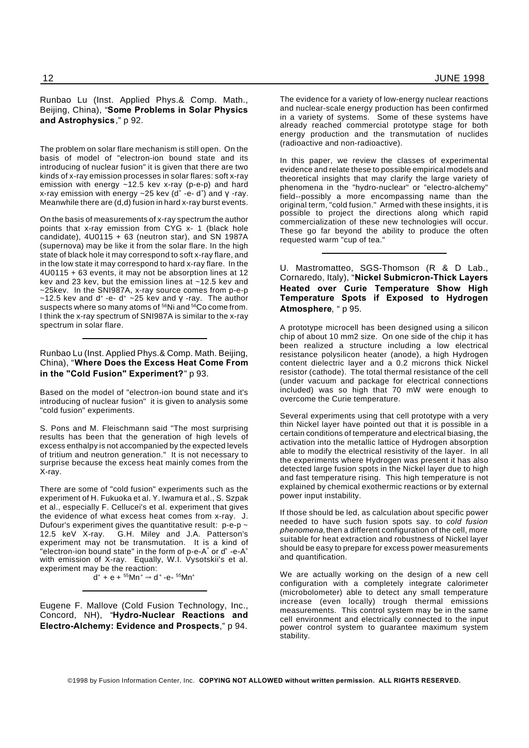Runbao Lu (Inst. Applied Phys.& Comp. Math., Beijing, China), "**Some Problems in Solar Physics and Astrophysics**," p 92.

The problem on solar flare mechanism is still open. On the basis of model of "electron-ion bound state and its introducing of nuclear fusion" it is given that there are two kinds of x-ray emission processes in solar flares: soft x-ray emission with energy ~12.5 kev x-ray (p-e-p) and hard x-ray emission with energy  $\sim$  25 kev (d<sup>+</sup> -e- d<sup>+</sup>) and  $\gamma$  -ray. Meanwhile there are (d,d) fusion in hard x-ray burst events.

On the basis of measurements of x-ray spectrum the author points that x-ray emission from CYG x- 1 (black hole candidate),  $4U0115 + 63$  (neutron star), and SN 1987A (supernova) may be like it from the solar flare. In the high state of black hole it may correspond to soft x-ray flare, and in the low state it may correspond to hard x-ray flare. In the 4U0115 + 63 events, it may not be absorption lines at 12 kev and 23 kev, but the emission lines at ~12.5 kev and ~25kev. In the SNI987A, x-ray source comes from p-e-p  $\sim$ 12.5 kev and d<sup>+</sup> -e- d<sup>+</sup>  $\sim$ 25 kev and  $\gamma$  -ray. The author suspects where so many atoms of <sup>56</sup>Ni and <sup>56</sup>Co come from. I think the x-ray spectrum of SNI987A is similar to the x-ray spectrum in solar flare.

#### Runbao Lu (Inst. Applied Phys.& Comp. Math. Beijing, China), "**Where Does the Excess Heat Come From in the "Cold Fusion" Experiment?**" p 93.

Based on the model of "electron-ion bound state and it's introducing of nuclear fusion" it is given to analysis some "cold fusion" experiments.

S. Pons and M. Fleischmann said "The most surprising results has been that the generation of high levels of excess enthalpy is not accompanied by the expected levels of tritium and neutron generation." It is not necessary to surprise because the excess heat mainly comes from the X-ray.

There are some of "cold fusion" experiments such as the experiment of H. Fukuoka et al. Y. Iwamura et al., S. Szpak et al., especially F. Cellucei's et al. experiment that gives the evidence of what excess heat comes from x-ray. J. Dufour's experiment gives the quantitative result:  $p$ -e-p  $\sim$  12.5 keV X-ray. G.H. Miley and J.A. Patterson's G.H. Miley and J.A. Patterson's experiment may not be transmutation. It is a kind of "electron-ion bound state" in the form of p-e-A<sup>\*</sup> or d<sup>+</sup> -e-A<sup>+</sup> with emission of X-ray. Equally, W.I. Vysotskii's et al. experiment may be the reaction:

d<sup>+</sup> + e + <sup>55</sup>Mn<sup>+</sup> ⇒ d<sup>+</sup> -e- <sup>55</sup>Mn<sup>+</sup>

Eugene F. Mallove (Cold Fusion Technology, Inc., Concord, NH), "**Hydro-Nuclear Reactions and Electro-Alchemy: Evidence and Prospects**," p 94.

The evidence for a variety of low-energy nuclear reactions and nuclear-scale energy production has been confirmed in a variety of systems. Some of these systems have already reached commercial prototype stage for both energy production and the transmutation of nuclides (radioactive and non-radioactive).

In this paper, we review the classes of experimental evidence and relate these to possible empirical models and theoretical insights that may clarify the large variety of phenomena in the "hydro-nuclear" or "electro-alchemy" field--possibly a more encompassing name than the original term, "cold fusion." Armed with these insights, it is possible to project the directions along which rapid commercialization of these new technologies will occur. These go far beyond the ability to produce the often requested warm "cup of tea."

U. Mastromatteo, SGS-Thomson (R & D Lab., Cornaredo, Italy), "**Nickel Submicron-Thick Layers Heated over Curie Temperature Show High Temperature Spots if Exposed to Hydrogen Atmosphere**, " p 95.

A prototype microcell has been designed using a silicon chip of about 10 mm2 size. On one side of the chip it has been realized a structure including a low electrical resistance polysilicon heater (anode), a high Hydrogen content dielectric layer and a 0.2 microns thick Nickel resistor (cathode). The total thermal resistance of the cell (under vacuum and package for electrical connections included) was so high that 70 mW were enough to overcome the Curie temperature.

Several experiments using that cell prototype with a very thin Nickel layer have pointed out that it is possible in a certain conditions of temperature and electrical biasing, the activation into the metallic lattice of Hydrogen absorption able to modify the electrical resistivity of the layer. In all the experiments where Hydrogen was present it has also detected large fusion spots in the Nickel layer due to high and fast temperature rising. This high temperature is not explained by chemical exothermic reactions or by external power input instability.

If those should be led, as calculation about specific power needed to have such fusion spots say. to *cold fusion phenomena,*then a different configuration of the cell, more suitable for heat extraction and robustness of Nickel layer should be easy to prepare for excess power measurements and quantification.

We are actually working on the design of a new cell configuration with a completely integrate calorimeter (microbolometer) able to detect any small temperature increase (even locally) trough thermal emissions measurements. This control system may be in the same cell environment and electrically connected to the input power control system to guarantee maximum system stability.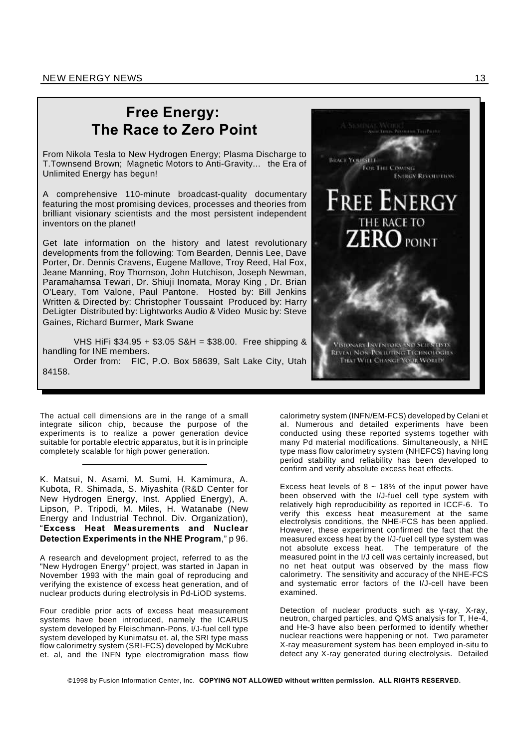## **Free Energy: The Race to Zero Point**

From Nikola Tesla to New Hydrogen Energy; Plasma Discharge to T.Townsend Brown; Magnetic Motors to Anti-Gravity... the Era of Unlimited Energy has begun!

A comprehensive 110-minute broadcast-quality documentary featuring the most promising devices, processes and theories from brilliant visionary scientists and the most persistent independent inventors on the planet!

Get late information on the history and latest revolutionary developments from the following: Tom Bearden, Dennis Lee, Dave Porter, Dr. Dennis Cravens, Eugene Mallove, Troy Reed, Hal Fox, Jeane Manning, Roy Thornson, John Hutchison, Joseph Newman, Paramahamsa Tewari, Dr. Shiuji Inomata, Moray King , Dr. Brian O'Leary, Tom Valone, Paul Pantone. Hosted by: Bill Jenkins Written & Directed by: Christopher Toussaint Produced by: Harry DeLigter Distributed by: Lightworks Audio & Video Music by: Steve Gaines, Richard Burmer, Mark Swane

VHS HiFi \$34.95 + \$3.05 S&H = \$38.00. Free shipping & handling for INE members.

Order from: FIC, P.O. Box 58639, Salt Lake City, Utah 84158.

The actual cell dimensions are in the range of a small integrate silicon chip, because the purpose of the experiments is to realize a power generation device suitable for portable electric apparatus, but it is in principle completely scalable for high power generation.

K. Matsui, N. Asami, M. Sumi, H. Kamimura, A. Kubota, R. Shimada, S. Miyashita (R&D Center for New Hydrogen Energy, Inst. Applied Energy), A. Lipson, P. Tripodi, M. Miles, H. Watanabe (New Energy and Industrial Technol. Div. Organization), "**Excess Heat Measurements and Nuclear Detection Experiments in the NHE Program**," p 96.

A research and development project, referred to as the "New Hydrogen Energy" project, was started in Japan in November 1993 with the main goal of reproducing and verifying the existence of excess heat generation, and of nuclear products during electrolysis in Pd-LiOD systems.

Four credible prior acts of excess heat measurement systems have been introduced, namely the ICARUS system developed by Fleischmann-Pons, I/J-fuel cell type system developed by Kunimatsu et. al, the SRI type mass flow calorimetry system (SRI-FCS) developed by McKubre et. al, and the INFN type electromigration mass flow



Excess heat levels of  $8 \sim 18\%$  of the input power have been observed with the I/J-fuel cell type system with relatively high reproducibility as reported in ICCF-6. To verify this excess heat measurement at the same electrolysis conditions, the NHE-FCS has been applied. However, these experiment confirmed the fact that the measured excess heat by the I/J-fuel cell type system was not absolute excess heat. The temperature of the measured point in the I/J cell was certainly increased, but no net heat output was observed by the mass flow calorimetry. The sensitivity and accuracy of the NHE-FCS and systematic error factors of the I/J-cell have been examined.

Detection of nuclear products such as  $y$ -ray, X-ray, neutron, charged particles, and QMS analysis for T, He-4, and He-3 have also been performed to identify whether nuclear reactions were happening or not. Two parameter X-ray measurement system has been employed in-situ to detect any X-ray generated during electrolysis. Detailed

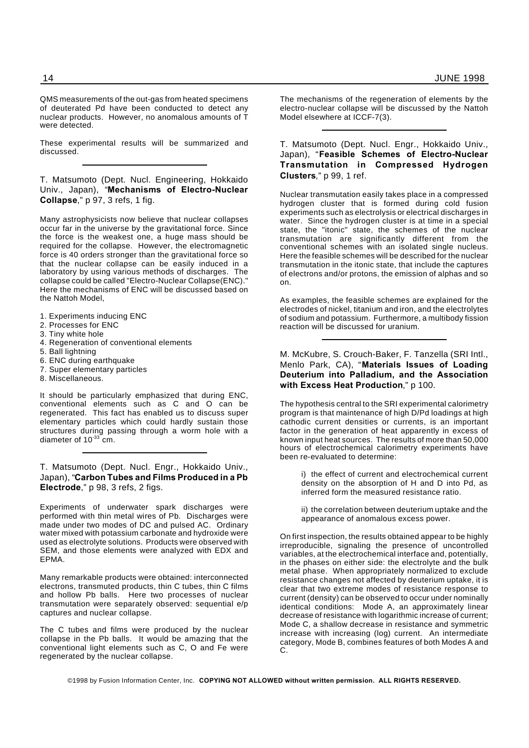QMS measurements of the out-gas from heated specimens of deuterated Pd have been conducted to detect any nuclear products. However, no anomalous amounts of T were detected.

These experimental results will be summarized and discussed.

T. Matsumoto (Dept. Nucl. Engineering, Hokkaido Univ., Japan), "**Mechanisms of Electro-Nuclear Collapse**," p 97, 3 refs, 1 fig.

Many astrophysicists now believe that nuclear collapses occur far in the universe by the gravitational force. Since the force is the weakest one, a huge mass should be required for the collapse. However, the electromagnetic force is 40 orders stronger than the gravitational force so that the nuclear collapse can be easily induced in a laboratory by using various methods of discharges. The collapse could be called "Electro-Nuclear Collapse(ENC)." Here the mechanisms of ENC will be discussed based on the Nattoh Model,

- 1. Experiments inducing ENC
- 2. Processes for ENC
- 3. Tiny white hole
- 4. Regeneration of conventional elements
- 5. Ball lightning
- 6. ENC during earthquake
- 7. Super elementary particles
- 8. Miscellaneous.

It should be particularly emphasized that during ENC, conventional elements such as C and O can be regenerated. This fact has enabled us to discuss super elementary particles which could hardly sustain those structures during passing through a worm hole with a diameter of  $10^{-33}$  cm.

T. Matsumoto (Dept. Nucl. Engr., Hokkaido Univ., Japan), "**Carbon Tubes and Films Produced in a Pb Electrode**," p 98, 3 refs, 2 figs.

Experiments of underwater spark discharges were performed with thin metal wires of Pb. Discharges were made under two modes of DC and pulsed AC. Ordinary water mixed with potassium carbonate and hydroxide were used as electrolyte solutions. Products were observed with SEM, and those elements were analyzed with EDX and EPMA.

Many remarkable products were obtained: interconnected electrons, transmuted products, thin C tubes, thin C films and hollow Pb balls. Here two processes of nuclear transmutation were separately observed: sequential e/p captures and nuclear collapse.

The C tubes and films were produced by the nuclear collapse in the Pb balls. It would be amazing that the conventional light elements such as C, O and Fe were regenerated by the nuclear collapse.

The mechanisms of the regeneration of elements by the electro-nuclear collapse will be discussed by the Nattoh Model elsewhere at ICCF-7(3).

T. Matsumoto (Dept. Nucl. Engr., Hokkaido Univ., Japan), "**Feasible Schemes of Electro-Nuclear Transmutation in Compressed Hydrogen Clusters**," p 99, 1 ref.

Nuclear transmutation easily takes place in a compressed hydrogen cluster that is formed during cold fusion experiments such as electrolysis or electrical discharges in water. Since the hydrogen cluster is at time in a special state, the "itonic" state, the schemes of the nuclear transmutation are significantly different from the conventional schemes with an isolated single nucleus. Here the feasible schemes will be described for the nuclear transmutation in the itonic state, that include the captures of electrons and/or protons, the emission of alphas and so on.

As examples, the feasible schemes are explained for the electrodes of nickel, titanium and iron, and the electrolytes of sodium and potassium. Furthermore, a multibody fission reaction will be discussed for uranium.

M. McKubre, S. Crouch-Baker, F. Tanzella (SRI Intl., Menlo Park, CA), "**Materials Issues of Loading Deuterium into Palladium, and the Association with Excess Heat Production**," p 100.

The hypothesis central to the SRI experimental calorimetry program is that maintenance of high D/Pd loadings at high cathodic current densities or currents, is an important factor in the generation of heat apparently in excess of known input heat sources. The results of more than 50,000 hours of electrochemical calorimetry experiments have been re-evaluated to determine:

> i) the effect of current and electrochemical current density on the absorption of H and D into Pd, as inferred form the measured resistance ratio.

> ii) the correlation between deuterium uptake and the appearance of anomalous excess power.

On first inspection, the results obtained appear to be highly irreproducible, signaling the presence of uncontrolled variables, at the electrochemical interface and, potentially, in the phases on either side: the electrolyte and the bulk metal phase. When appropriately normalized to exclude resistance changes not affected by deuterium uptake, it is clear that two extreme modes of resistance response to current (density) can be observed to occur under nominally identical conditions: Mode A, an approximately linear decrease of resistance with logarithmic increase of current; Mode C, a shallow decrease in resistance and symmetric increase with increasing (log) current. An intermediate category, Mode B, combines features of both Modes A and C.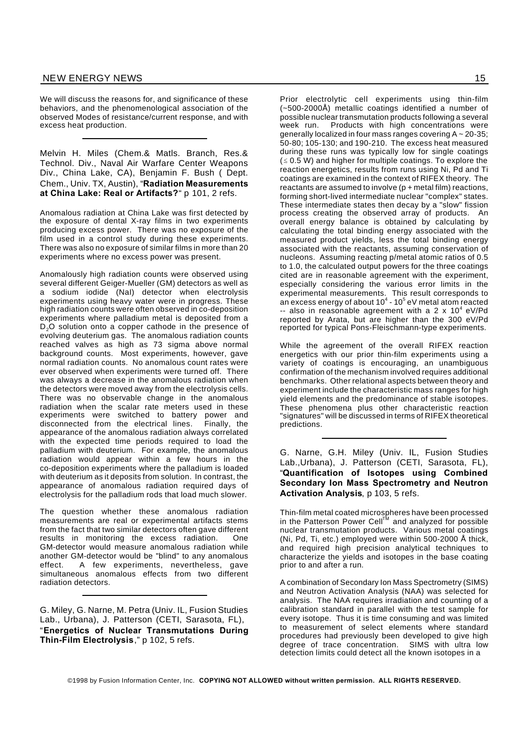We will discuss the reasons for, and significance of these behaviors, and the phenomenological association of the observed Modes of resistance/current response, and with excess heat production.

Melvin H. Miles (Chem.& Matls. Branch, Res.& Technol. Div., Naval Air Warfare Center Weapons Div., China Lake, CA), Benjamin F. Bush ( Dept. Chem., Univ. TX, Austin), "**Radiation Measurements at China Lake: Real or Artifacts?**" p 101, 2 refs.

Anomalous radiation at China Lake was first detected by the exposure of dental X-ray films in two experiments producing excess power. There was no exposure of the film used in a control study during these experiments. There was also no exposure of similar films in more than 20 experiments where no excess power was present.

Anomalously high radiation counts were observed using several different Geiger-Mueller (GM) detectors as well as a sodium iodide (NaI) detector when electrolysis experiments using heavy water were in progress. These high radiation counts were often observed in co-deposition experiments where palladium metal is deposited from a D<sub>2</sub>O solution onto a copper cathode in the presence of evolving deuterium gas. The anomalous radiation counts reached valves as high as 73 sigma above normal background counts. Most experiments, however, gave normal radiation counts. No anomalous count rates were ever observed when experiments were turned off. There was always a decrease in the anomalous radiation when the detectors were moved away from the electrolysis cells. There was no observable change in the anomalous radiation when the scalar rate meters used in these experiments were switched to battery power and disconnected from the electrical lines. Finally, the appearance of the anomalous radiation always correlated with the expected time periods required to load the palladium with deuterium. For example, the anomalous radiation would appear within a few hours in the co-deposition experiments where the palladium is loaded with deuterium as it deposits from solution. In contrast, the appearance of anomalous radiation required days of electrolysis for the palladium rods that load much slower.

The question whether these anomalous radiation measurements are real or experimental artifacts stems from the fact that two similar detectors often gave different results in monitoring the excess radiation. One GM-detector would measure anomalous radiation while another GM-detector would be "blind" to any anomalous effect. A few experiments, nevertheless, gave simultaneous anomalous effects from two different radiation detectors.

G. Miley, G. Narne, M. Petra (Univ. IL, Fusion Studies Lab., Urbana), J. Patterson (CETI, Sarasota, FL), "**Energetics of Nuclear Transmutations During Thin-Film Electrolysis**," p 102, 5 refs.

Prior electrolytic cell experiments using thin-film (~500-2000Å) metallic coatings identified a number of possible nuclear transmutation products following a several Products with high concentrations were generally localized in four mass ranges covering  $A \sim 20-35$ ; 50-80; 105-130; and 190-210. The excess heat measured during these runs was typically low for single coatings  $(s 0.5 W)$  and higher for multiple coatings. To explore the reaction energetics, results from runs using Ni, Pd and Ti coatings are examined in the context of RIFEX theory. The reactants are assumed to involve (p + metal film) reactions, forming short-lived intermediate nuclear "complex" states. These intermediate states then decay by a "slow" fission process creating the observed array of products. An overall energy balance is obtained by calculating by calculating the total binding energy associated with the measured product yields, less the total binding energy associated with the reactants, assuming conservation of nucleons. Assuming reacting p/metal atomic ratios of 0.5 to 1.0, the calculated output powers for the three coatings cited are in reasonable agreement with the experiment, especially considering the various error limits in the experimental measurements. This result corresponds to an excess energy of about 10 $^4$  - 10 $^5$  eV metal atom reacted  $-$  also in reasonable agreement with a 2 x 10<sup>4</sup> eV/Pd reported by Arata, but are higher than the 300 eV/Pd reported for typical Pons-Fleischmann-type experiments.

While the agreement of the overall RIFEX reaction energetics with our prior thin-film experiments using a variety of coatings is encouraging, an unambiguous confirmation of the mechanism involved requires additional benchmarks. Other relational aspects between theory and experiment include the characteristic mass ranges for high yield elements and the predominance of stable isotopes. These phenomena plus other characteristic reaction "signatures" will be discussed in terms of RIFEX theoretical predictions.

G. Narne, G.H. Miley (Univ. IL, Fusion Studies Lab.,Urbana), J. Patterson (CETI, Sarasota, FL), "**Quantification of Isotopes using Combined Secondary Ion Mass Spectrometry and Neutron Activation Analysis**, p 103, 5 refs.

Thin-film metal coated microspheres have been processed in the Patterson Power Cell<sup>TM</sup> and analyzed for possible nuclear transmutation products. Various metal coatings (Ni, Pd, Ti, etc.) employed were within 500-2000 Å thick, and required high precision analytical techniques to characterize the yields and isotopes in the base coating prior to and after a run.

A combination of Secondary Ion Mass Spectrometry (SIMS) and Neutron Activation Analysis (NAA) was selected for analysis. The NAA requires irradiation and counting of a calibration standard in parallel with the test sample for every isotope. Thus it is time consuming and was limited to measurement of select elements where standard procedures had previously been developed to give high degree of trace concentration. SIMS with ultra low detection limits could detect all the known isotopes in a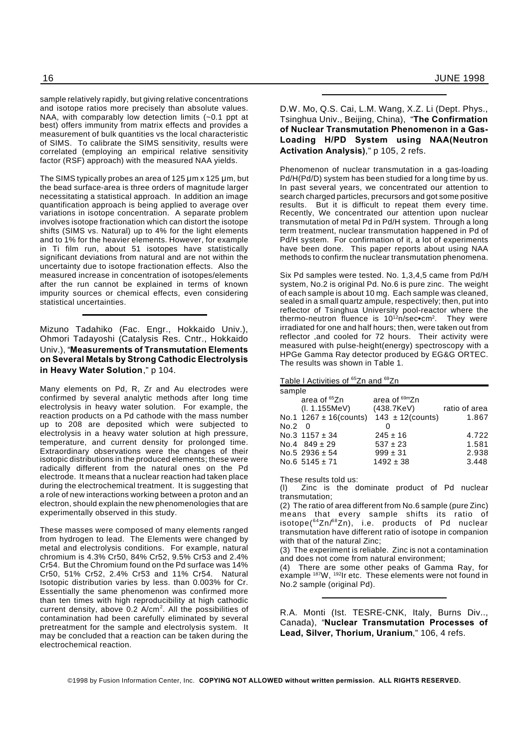sample relatively rapidly, but giving relative concentrations and isotope ratios more precisely than absolute values. NAA, with comparably low detection limits (~0.1 ppt at best) offers immunity from matrix effects and provides a measurement of bulk quantities vs the local characteristic of SIMS. To calibrate the SIMS sensitivity, results were correlated (employing an empirical relative sensitivity factor (RSF) approach) with the measured NAA yields.

The SIMS typically probes an area of 125  $\mu$ m x 125  $\mu$ m, but the bead surface-area is three orders of magnitude larger necessitating a statistical approach. In addition an image quantification approach is being applied to average over variations in isotope concentration. A separate problem involves isotope fractionation which can distort the isotope shifts (SIMS vs. Natural) up to 4% for the light elements and to 1% for the heavier elements. However, for example in Ti film run, about 51 isotopes have statistically significant deviations from natural and are not within the uncertainty due to isotope fractionation effects. Also the measured increase in concentration of isotopes/elements after the run cannot be explained in terms of known impurity sources or chemical effects, even considering statistical uncertainties.

Mizuno Tadahiko (Fac. Engr., Hokkaido Univ.), Ohmori Tadayoshi (Catalysis Res. Cntr., Hokkaido Univ.), "**Measurements of Transmutation Elements on Several Metals by Strong Cathodic Electrolysis in Heavy Water Solution**," p 104.

Many elements on Pd, R, Zr and Au electrodes were confirmed by several analytic methods after long time electrolysis in heavy water solution. For example, the reaction products on a Pd cathode with the mass number up to 208 are deposited which were subjected to electrolysis in a heavy water solution at high pressure, temperature, and current density for prolonged time. Extraordinary observations were the changes of their isotopic distributions in the produced elements; these were radically different from the natural ones on the Pd electrode. It means that a nuclear reaction had taken place during the electrochemical treatment. It is suggesting that a role of new interactions working between a proton and an electron, should explain the new phenomenologies that are experimentally observed in this study.

These masses were composed of many elements ranged from hydrogen to lead. The Elements were changed by metal and electrolysis conditions. For example, natural chromium is 4.3% Cr50, 84% Cr52, 9.5% Cr53 and 2.4% Cr54. But the Chromium found on the Pd surface was 14% Cr50, 51% Cr52, 2.4% Cr53 and 11% Cr54. Natural Isotopic distribution varies by less. than 0.003% for Cr. Essentially the same phenomenon was confirmed more than ten times with high reproducibility at high cathodic current density, above  $0.2$  A/cm<sup>2</sup>. All the possibilities of contamination had been carefully eliminated by several pretreatment for the sample and electrolysis system. It may be concluded that a reaction can be taken during the electrochemical reaction.

D.W. Mo, Q.S. Cai, L.M. Wang, X.Z. Li (Dept. Phys., Tsinghua Univ., Beijing, China), "**The Confirmation of Nuclear Transmutation Phenomenon in a Gas-Loading H/PD System using NAA(Neutron Activation Analysis)**," p 105, 2 refs.

Phenomenon of nuclear transmutation in a gas-loading Pd/H(Pd/D) system has been studied for a long time by us. In past several years, we concentrated our attention to search charged particles, precursors and got some positive results. But it is difficult to repeat them every time. Recently, We concentrated our attention upon nuclear transmutation of metal Pd in Pd/H system. Through a long term treatment, nuclear transmutation happened in Pd of Pd/H system. For confirmation of it, a lot of experiments have been done. This paper reports about using NAA methods to confirm the nuclear transmutation phenomena.

Six Pd samples were tested. No. 1,3,4,5 came from Pd/H system, No.2 is original Pd. No.6 is pure zinc. The weight of each sample is about 10 mg. Each sample was cleaned, sealed in a small quartz ampule, respectively; then, put into reflector of Tsinghua University pool-reactor where the thermo-neutron fluence is 10<sup>12</sup>n/sec•cm<sup>2</sup>. They were irradiated for one and half hours; then, were taken out from reflector ,and cooled for 72 hours. Their activity were measured with pulse-height(energy) spectroscopy with a HPGe Gamma Ray detector produced by EG&G ORTEC. The results was shown in Table 1.

#### Table I Activities of <sup>65</sup>Zn and <sup>69</sup>Zn

| sample |                             |                       |               |  |  |
|--------|-----------------------------|-----------------------|---------------|--|--|
|        | area of 65Zn                | area of 69mZn         |               |  |  |
|        | (I. 1.155MeV)               | (438.7KeV)            | ratio of area |  |  |
|        | No.1 $1267 \pm 16$ (counts) | $143 \pm 12$ (counts) | 1.867         |  |  |
| No.2 0 |                             |                       |               |  |  |
|        | No.3 $1157 \pm 34$          | $245 \pm 16$          | 4.722         |  |  |
|        | No.4 $849 \pm 29$           | $537 \pm 23$          | 1.581         |  |  |
|        | No.5 2936 $\pm$ 54          | $999 \pm 31$          | 2.938         |  |  |
|        | No.6 $5145 \pm 71$          | $1492 \pm 38$         | 3.448         |  |  |

These results told us:

(l) Zinc is the dominate product of Pd nuclear transmutation;

(2) The ratio of area different from No.6 sample (pure Zinc) means that every sample shifts its ratio of isotope(<sup>64</sup>Zn/<sup>68</sup>Zn), i.e. products of Pd nuclear transmutation have different ratio of isotope in companion with that of the natural Zinc;

(3) The experiment is reliable. Zinc is not a contamination and does not come from natural environment;

(4) There are some other peaks of Gamma Ray, for example <sup>187</sup>W, <sup>192</sup>Ir etc. These elements were not found in No.2 sample (original Pd).

R.A. Monti (Ist. TESRE-CNK, Italy, Burns Div.., Canada), "**Nuclear Transmutation Processes of Lead, Silver, Thorium, Uranium**," 106, 4 refs.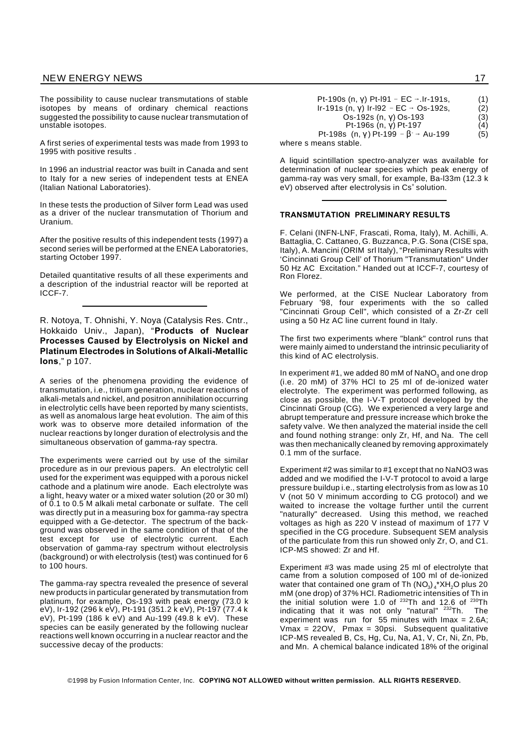The possibility to cause nuclear transmutations of stable isotopes by means of ordinary chemical reactions suggested the possibility to cause nuclear transmutation of unstable isotopes.

A first series of experimental tests was made from 1993 to 1995 with positive results .

In 1996 an industrial reactor was built in Canada and sent to Italy for a new series of independent tests at ENEA (Italian National Laboratories).

In these tests the production of Silver form Lead was used as a driver of the nuclear transmutation of Thorium and Uranium.

After the positive results of this independent tests (1997) a second series will be performed at the ENEA Laboratories, starting October 1997.

Detailed quantitative results of all these experiments and a description of the industrial reactor will be reported at ICCF-7.

R. Notoya, T. Ohnishi, Y. Noya (Catalysis Res. Cntr., Hokkaido Univ., Japan), "**Products of Nuclear Processes Caused by Electrolysis on Nickel and Platinum Electrodes in Solutions of Alkali-Metallic Ions**," p 107.

A series of the phenomena providing the evidence of transmutation, i.e., tritium generation, nuclear reactions of alkali-metals and nickel, and positron annihilation occurring in electrolytic cells have been reported by many scientists, as well as anomalous large heat evolution. The aim of this work was to observe more detailed information of the nuclear reactions by longer duration of electrolysis and the simultaneous observation of gamma-ray spectra.

The experiments were carried out by use of the similar procedure as in our previous papers. An electrolytic cell used for the experiment was equipped with a porous nickel cathode and a platinum wire anode. Each electrolyte was a light, heavy water or a mixed water solution (20 or 30 ml) of 0.1 to 0.5 M alkali metal carbonate or sulfate. The cell was directly put in a measuring box for gamma-ray spectra equipped with a Ge-detector. The spectrum of the background was observed in the same condition of that of the test except for use of electrolytic current. Each observation of gamma-ray spectrum without electrolysis (background) or with electrolysis (test) was continued for 6 to 100 hours.

The gamma-ray spectra revealed the presence of several new products in particular generated by transmutation from platinum, for example, Os-193 with peak energy (73.0 k eV), Ir-192 (296 k eV), Pt-191 (351.2 k eV), Pt-197 (77.4 k eV), Pt-199 (186 k eV) and Au-199 (49.8 k eV). These species can be easily generated by the following nuclear reactions well known occurring in a nuclear reactor and the successive decay of the products:

| Pt-190s (n, y) Pt-l91 − EC → Ir-191s,              | (1) |
|----------------------------------------------------|-----|
| Ir-191s (n, y) Ir-I92 - EC $\rightarrow$ Os-192s,  | (2) |
| Os-192s (n, y) Os-193                              | (3) |
| Pt-196s (n, y) Pt-197                              | (4) |
| Pt-198s (n, y) Pt-199 - $\beta \rightarrow$ Au-199 | (5) |
| where s means stable.                              |     |

A liquid scintillation spectro-analyzer was available for determination of nuclear species which peak energy of gamma-ray was very small, for example, Ba-l33m (12.3 k eV) observed after electrolysis in Cs<sup>+</sup> solution.

#### **TRANSMUTATION PRELIMINARY RESULTS**

F. Celani (INFN-LNF, Frascati, Roma, Italy), M. Achilli, A. Battaglia, C. Cattaneo, G. Buzzanca, P.G. Sona (CISE spa, Italy), A. Mancini (ORIM srl Italy), "Preliminary Results with 'Cincinnati Group Cell' of Thorium "Transmutation" Under 50 Hz AC Excitation." Handed out at ICCF-7, courtesy of Ron Florez.

We performed, at the CISE Nuclear Laboratory from February '98, four experiments with the so called "Cincinnati Group Cell", which consisted of a Zr-Zr cell using a 50 Hz AC line current found in Italy.

The first two experiments where "blank" control runs that were mainly aimed to understand the intrinsic peculiarity of this kind of AC electrolysis.

In experiment  $#1$ , we added 80 mM of NaNO<sub>3</sub> and one drop (i.e. 20 mM) of 37% HCl to 25 ml of de-ionized water electrolyte. The experiment was performed following, as close as possible, the I-V-T protocol developed by the Cincinnati Group (CG). We experienced a very large and abrupt temperature and pressure increase which broke the safety valve. We then analyzed the material inside the cell and found nothing strange: only Zr, Hf, and Na. The cell was then mechanically cleaned by removing approximately 0.1 mm of the surface.

Experiment #2 was similar to #1 except that no NaNO3 was added and we modified the I-V-T protocol to avoid a large pressure buildup i.e., starting electrolysis from as low as 10 V (not 50 V minimum according to CG protocol) and we waited to increase the voltage further until the current "naturally" decreased. Using this method, we reached voltages as high as 220 V instead of maximum of 177 V specified in the CG procedure. Subsequent SEM analysis of the particulate from this run showed only Zr, O, and C1. ICP-MS showed: Zr and Hf.

Experiment #3 was made using 25 ml of electrolyte that came from a solution composed of 100 ml of de-ionized water that contained one gram of Th (NO $_3)_{\scriptscriptstyle 4}$ \*XH $_2$ O plus 20 mM (one drop) of 37% HCl. Radiometric intensities of Th in the initial solution were 1.0 of  $^{232}$ Th and 12.6 of  $^{230}$ Th indicating that it was not only "natural" <sup>232</sup>Th. The experiment was run for 55 minutes with  $\text{Imax} = 2.6\text{A};$ Vmax = 22OV, Pmax = 30psi. Subsequent qualitative ICP-MS revealed B, Cs, Hg, Cu, Na, A1, V, Cr, Ni, Zn, Pb, and Mn. A chemical balance indicated 18% of the original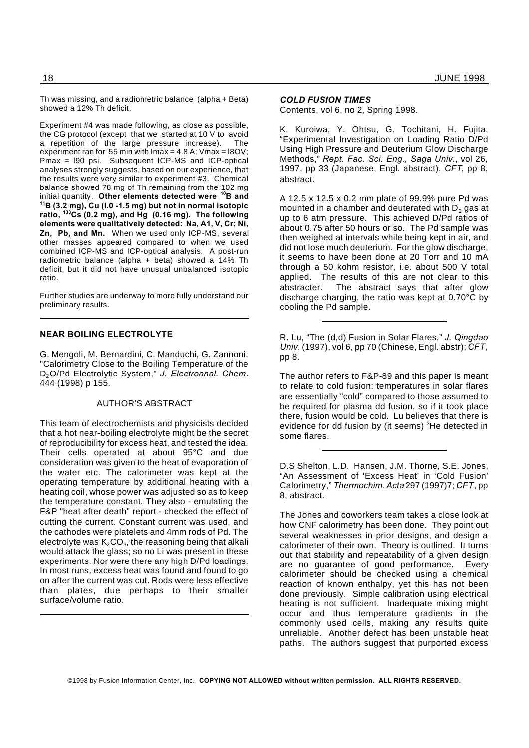Th was missing, and a radiometric balance (alpha + Beta) showed a 12% Th deficit.

Experiment #4 was made following, as close as possible, the CG protocol (except that we started at 10 V to avoid a repetition of the large pressure increase). The experiment ran for 55 min with  $\text{Imax} = 4.8 \text{ A}$ ;  $\text{Vmax} = 180 \text{ V}$ ; Pmax = l90 psi. Subsequent ICP-MS and ICP-optical analyses strongly suggests, based on our experience, that the results were very similar to experiment #3. Chemical balance showed 78 mg of Th remaining from the 102 mg initial quantity. **Other elements detected were <sup>10</sup>B and <sup>11</sup>B (3.2 mg), Cu (l.0 -1.5 mg) but not in normal isotopic ratio, <sup>133</sup>Cs (0.2 mg), and Hg (0.16 mg). The following elements were qualitatively detected: Na, A1, V, Cr; Ni, Zn, Pb, and Mn.** When we used only ICP-MS, several other masses appeared compared to when we used combined ICP-MS and ICP-optical analysis. A post-run radiometric balance (alpha + beta) showed a 14% Th deficit, but it did not have unusual unbalanced isotopic ratio.

Further studies are underway to more fully understand our preliminary results.

#### **NEAR BOILING ELECTROLYTE**

G. Mengoli, M. Bernardini, C. Manduchi, G. Zannoni, "Calorimetry Close to the Boiling Temperature of the D2O/Pd Electrolytic System," *J. Electroanal. Chem*. 444 (1998) p 155.

#### AUTHOR'S ABSTRACT

This team of electrochemists and physicists decided that a hot near-boiling electrolyte might be the secret of reproducibility for excess heat, and tested the idea. Their cells operated at about 95°C and due consideration was given to the heat of evaporation of the water etc. The calorimeter was kept at the operating temperature by additional heating with a heating coil, whose power was adjusted so as to keep the temperature constant. They also - emulating the F&P "heat after death" report - checked the effect of cutting the current. Constant current was used, and the cathodes were platelets and 4mm rods of Pd. The electrolyte was  $\mathsf{K}_{\scriptscriptstyle{2}}\mathsf{CO}_{\scriptscriptstyle{3}}$ , the reasoning being that alkali would attack the glass; so no Li was present in these experiments. Nor were there any high D/Pd loadings. In most runs, excess heat was found and found to go on after the current was cut. Rods were less effective than plates, due perhaps to their smaller surface/volume ratio.

#### *COLD FUSION TIMES*

Contents, vol 6, no 2, Spring 1998.

K. Kuroiwa, Y. Ohtsu, G. Tochitani, H. Fujita, "Experimental Investigation on Loading Ratio D/Pd Using High Pressure and Deuterium Glow Discharge Methods," *Rept. Fac. Sci. Eng., Saga Univ.*, vol 26, 1997, pp 33 (Japanese, Engl. abstract), *CFT*, pp 8, abstract.

A 12.5 x 12.5 x 0.2 mm plate of 99.9% pure Pd was mounted in a chamber and deuterated with  $D<sub>2</sub>$  gas at up to 6 atm pressure. This achieved D/Pd ratios of about 0.75 after 50 hours or so. The Pd sample was then weighed at intervals while being kept in air, and did not lose much deuterium. For the glow discharge, it seems to have been done at 20 Torr and 10 mA through a 50 kohm resistor, i.e. about 500 V total applied. The results of this are not clear to this abstracter. The abstract says that after glow discharge charging, the ratio was kept at 0.70°C by cooling the Pd sample.

R. Lu, "The (d,d) Fusion in Solar Flares," *J. Qingdao Univ*. (1997), vol 6, pp 70 (Chinese, Engl. abstr); *CFT*, pp 8.

The author refers to F&P-89 and this paper is meant to relate to cold fusion: temperatures in solar flares are essentially "cold" compared to those assumed to be required for plasma dd fusion, so if it took place there, fusion would be cold. Lu believes that there is evidence for dd fusion by (it seems) <sup>3</sup>He detected in some flares.

D.S Shelton, L.D. Hansen, J.M. Thorne, S.E. Jones, "An Assessment of 'Excess Heat' in 'Cold Fusion' Calorimetry," *Thermochim. Acta* 297 (1997)7; *CFT*, pp 8, abstract.

The Jones and coworkers team takes a close look at how CNF calorimetry has been done. They point out several weaknesses in prior designs, and design a calorimeter of their own. Theory is outlined. It turns out that stability and repeatability of a given design are no guarantee of good performance. Every calorimeter should be checked using a chemical reaction of known enthalpy, yet this has not been done previously. Simple calibration using electrical heating is not sufficient. Inadequate mixing might occur and thus temperature gradients in the commonly used cells, making any results quite unreliable. Another defect has been unstable heat paths. The authors suggest that purported excess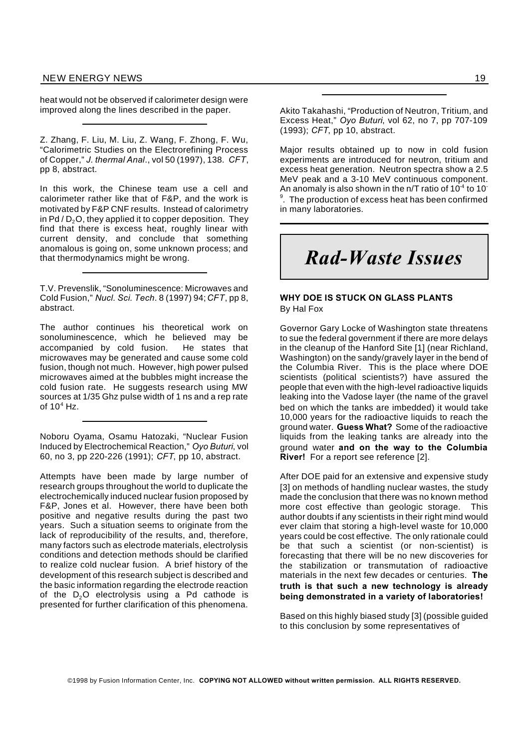heat would not be observed if calorimeter design were improved along the lines described in the paper.

Z. Zhang, F. Liu, M. Liu, Z. Wang, F. Zhong, F. Wu, "Calorimetric Studies on the Electrorefining Process of Copper," *J. thermal Anal*., vol 50 (1997), 138. *CFT*, pp 8, abstract.

In this work, the Chinese team use a cell and calorimeter rather like that of F&P, and the work is motivated by F&P CNF results. Instead of calorimetry in Pd /  $D_2$ O, they applied it to copper deposition. They find that there is excess heat, roughly linear with current density, and conclude that something anomalous is going on, some unknown process; and that thermodynamics might be wrong.

T.V. Prevenslik, "Sonoluminescence: Microwaves and Cold Fusion," *Nucl. Sci. Tech*. 8 (1997) 94;*CFT*, pp 8, abstract.

The author continues his theoretical work on sonoluminescence, which he believed may be accompanied by cold fusion. He states that microwaves may be generated and cause some cold fusion, though not much. However, high power pulsed microwaves aimed at the bubbles might increase the cold fusion rate. He suggests research using MW sources at 1/35 Ghz pulse width of 1 ns and a rep rate of  $10<sup>4</sup>$  Hz.

Noboru Oyama, Osamu Hatozaki, "Nuclear Fusion Induced by Electrochemical Reaction," *Oyo Buturi*, vol 60, no 3, pp 220-226 (1991); *CFT*, pp 10, abstract.

Attempts have been made by large number of research groups throughout the world to duplicate the electrochemically induced nuclear fusion proposed by F&P, Jones et al. However, there have been both positive and negative results during the past two years. Such a situation seems to originate from the lack of reproducibility of the results, and, therefore, many factors such as electrode materials, electrolysis conditions and detection methods should be clarified to realize cold nuclear fusion. A brief history of the development of this research subject is described and the basic information regarding the electrode reaction of the  $D_2O$  electrolysis using a Pd cathode is presented for further clarification of this phenomena.

Akito Takahashi, "Production of Neutron, Tritium, and Excess Heat," *Oyo Buturi*, vol 62, no 7, pp 707-109 (1993); *CFT*, pp 10, abstract.

Major results obtained up to now in cold fusion experiments are introduced for neutron, tritium and excess heat generation. Neutron spectra show a 2.5 MeV peak and a 3-10 MeV continuous component. An anomaly is also shown in the n/T ratio of 10 $4$  to 10 $\overline{ }$  $\,^\circ$ . The production of excess heat has been confirmed in many laboratories.

## *Rad-Waste Issues*

#### **WHY DOE IS STUCK ON GLASS PLANTS** By Hal Fox

Governor Gary Locke of Washington state threatens to sue the federal government if there are more delays in the cleanup of the Hanford Site [1] (near Richland, Washington) on the sandy/gravely layer in the bend of the Columbia River. This is the place where DOE scientists (political scientists?) have assured the people that even with the high-level radioactive liquids leaking into the Vadose layer (the name of the gravel bed on which the tanks are imbedded) it would take 10,000 years for the radioactive liquids to reach the ground water. **Guess What?** Some of the radioactive liquids from the leaking tanks are already into the ground water **and on the way to the Columbia River!** For a report see reference [2].

After DOE paid for an extensive and expensive study [3] on methods of handling nuclear wastes, the study made the conclusion that there was no known method more cost effective than geologic storage. This author doubts if any scientists in their right mind would ever claim that storing a high-level waste for 10,000 years could be cost effective. The only rationale could be that such a scientist (or non-scientist) is forecasting that there will be no new discoveries for the stabilization or transmutation of radioactive materials in the next few decades or centuries. **The truth is that such a new technology is already being demonstrated in a variety of laboratories!**

Based on this highly biased study [3] (possible guided to this conclusion by some representatives of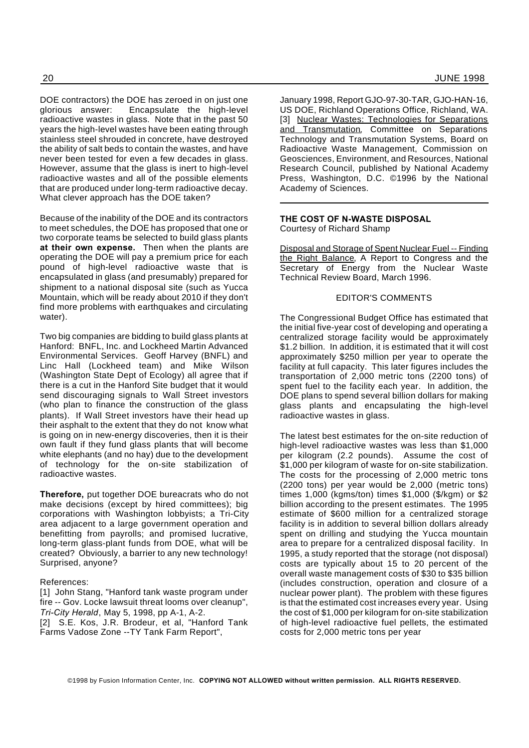DOE contractors) the DOE has zeroed in on just one glorious answer: Encapsulate the high-level radioactive wastes in glass. Note that in the past 50 years the high-level wastes have been eating through stainless steel shrouded in concrete, have destroyed the ability of salt beds to contain the wastes, and have never been tested for even a few decades in glass. However, assume that the glass is inert to high-level radioactive wastes and all of the possible elements that are produced under long-term radioactive decay. What clever approach has the DOE taken?

Because of the inability of the DOE and its contractors to meet schedules, the DOE has proposed that one or two corporate teams be selected to build glass plants **at their own expense.** Then when the plants are operating the DOE will pay a premium price for each pound of high-level radioactive waste that is encapsulated in glass (and presumably) prepared for shipment to a national disposal site (such as Yucca Mountain, which will be ready about 2010 if they don't find more problems with earthquakes and circulating water).

Two big companies are bidding to build glass plants at Hanford: BNFL, Inc. and Lockheed Martin Advanced Environmental Services. Geoff Harvey (BNFL) and Linc Hall (Lockheed team) and Mike Wilson (Washington State Dept of Ecology) all agree that if there is a cut in the Hanford Site budget that it would send discouraging signals to Wall Street investors (who plan to finance the construction of the glass plants). If Wall Street investors have their head up their asphalt to the extent that they do not know what is going on in new-energy discoveries, then it is their own fault if they fund glass plants that will become white elephants (and no hay) due to the development of technology for the on-site stabilization of radioactive wastes.

**Therefore,** put together DOE bureacrats who do not make decisions (except by hired committees); big corporations with Washington lobbyists; a Tri-City area adjacent to a large government operation and benefitting from payrolls; and promised lucrative, long-term glass-plant funds from DOE, what will be created? Obviously, a barrier to any new technology! Surprised, anyone?

#### References:

[1] John Stang, "Hanford tank waste program under fire -- Gov. Locke lawsuit threat looms over cleanup", *Tri-City Herald*, May 5, 1998, pp A-1, A-2. [2] S.E. Kos, J.R. Brodeur, et al, "Hanford Tank

Farms Vadose Zone --TY Tank Farm Report",

January 1998, Report GJO-97-30-TAR, GJO-HAN-16, US DOE, Richland Operations Office, Richland, WA. [3] Nuclear Wastes: Technologies for Separations and Transmutation, Committee on Separations Technology and Transmutation Systems, Board on Radioactive Waste Management, Commission on Geosciences, Environment, and Resources, National Research Council, published by National Academy Press, Washington, D.C. ©1996 by the National Academy of Sciences.

#### **THE COST OF N-WASTE DISPOSAL** Courtesy of Richard Shamp

Disposal and Storage of Spent Nuclear Fuel -- Finding the Right Balance, A Report to Congress and the Secretary of Energy from the Nuclear Waste Technical Review Board, March 1996.

#### EDITOR'S COMMENTS

The Congressional Budget Office has estimated that the initial five-year cost of developing and operating a centralized storage facility would be approximately \$1.2 billion. In addition, it is estimated that it will cost approximately \$250 million per year to operate the facility at full capacity. This later figures includes the transportation of 2,000 metric tons (2200 tons) of spent fuel to the facility each year. In addition, the DOE plans to spend several billion dollars for making glass plants and encapsulating the high-level radioactive wastes in glass.

The latest best estimates for the on-site reduction of high-level radioactive wastes was less than \$1,000 per kilogram (2.2 pounds). Assume the cost of \$1,000 per kilogram of waste for on-site stabilization. The costs for the processing of 2,000 metric tons (2200 tons) per year would be 2,000 (metric tons) times 1,000 (kgms/ton) times \$1,000 (\$/kgm) or \$2 billion according to the present estimates. The 1995 estimate of \$600 million for a centralized storage facility is in addition to several billion dollars already spent on drilling and studying the Yucca mountain area to prepare for a centralized disposal facility. In 1995, a study reported that the storage (not disposal) costs are typically about 15 to 20 percent of the overall waste management costs of \$30 to \$35 billion (includes construction, operation and closure of a nuclear power plant). The problem with these figures is that the estimated cost increases every year. Using the cost of \$1,000 per kilogram for on-site stabilization of high-level radioactive fuel pellets, the estimated costs for 2,000 metric tons per year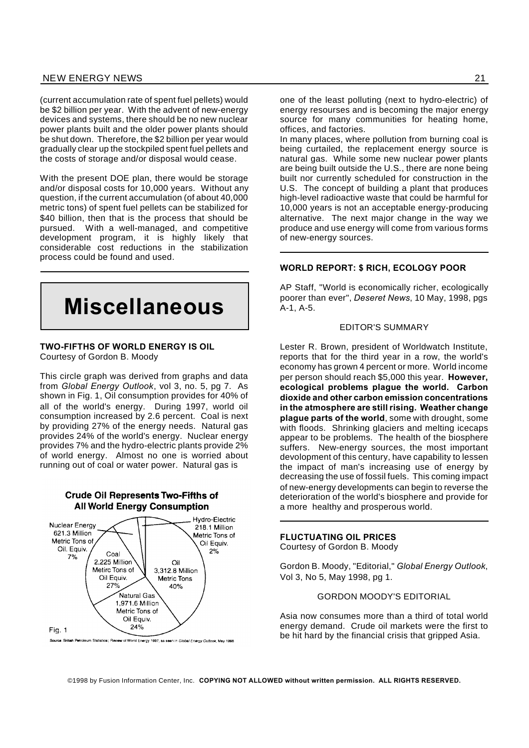(current accumulation rate of spent fuel pellets) would be \$2 billion per year. With the advent of new-energy devices and systems, there should be no new nuclear power plants built and the older power plants should be shut down. Therefore, the \$2 billion per year would gradually clear up the stockpiled spent fuel pellets and the costs of storage and/or disposal would cease.

With the present DOE plan, there would be storage and/or disposal costs for 10,000 years. Without any question, if the current accumulation (of about 40,000 metric tons) of spent fuel pellets can be stabilized for \$40 billion, then that is the process that should be pursued. With a well-managed, and competitive development program, it is highly likely that considerable cost reductions in the stabilization process could be found and used.



#### **TWO-FIFTHS OF WORLD ENERGY IS OIL** Courtesy of Gordon B. Moody

This circle graph was derived from graphs and data from *Global Energy Outlook*, vol 3, no. 5, pg 7. As shown in Fig. 1, Oil consumption provides for 40% of all of the world's energy. During 1997, world oil consumption increased by 2.6 percent. Coal is next by providing 27% of the energy needs. Natural gas provides 24% of the world's energy. Nuclear energy provides 7% and the hydro-electric plants provide 2% of world energy. Almost no one is worried about running out of coal or water power. Natural gas is



one of the least polluting (next to hydro-electric) of energy resourses and is becoming the major energy source for many communities for heating home, offices, and factories.

In many places, where pollution from burning coal is being curtailed, the replacement energy source is natural gas. While some new nuclear power plants are being built outside the U.S., there are none being built nor currently scheduled for construction in the U.S. The concept of building a plant that produces high-level radioactive waste that could be harmful for 10,000 years is not an acceptable energy-producing alternative. The next major change in the way we produce and use energy will come from various forms of new-energy sources.

#### **WORLD REPORT: \$ RICH, ECOLOGY POOR**

AP Staff, "World is economically richer, ecologically poorer than ever", *Deseret News*, 10 May, 1998, pgs A-1, A-5.

#### EDITOR'S SUMMARY

Lester R. Brown, president of Worldwatch Institute, reports that for the third year in a row, the world's economy has grown 4 percent or more. World income per person should reach \$5,000 this year. **However, ecological problems plague the world. Carbon dioxide and other carbon emission concentrations in the atmosphere are still rising. Weather change plague parts of the world**, some with drought, some with floods. Shrinking glaciers and melting icecaps appear to be problems. The health of the biosphere suffers. New-energy sources, the most important devolopment of this century, have capability to lessen the impact of man's increasing use of energy by decreasing the use of fossil fuels. This coming impact of new-energy developments can begin to reverse the deterioration of the world's biosphere and provide for a more healthy and prosperous world.

#### **FLUCTUATING OIL PRICES**

Courtesy of Gordon B. Moody

Gordon B. Moody, "Editorial," *Global Energy Outlook*, Vol 3, No 5, May 1998, pg 1.

GORDON MOODY'S EDITORIAL

Asia now consumes more than a third of total world energy demand. Crude oil markets were the first to be hit hard by the financial crisis that gripped Asia.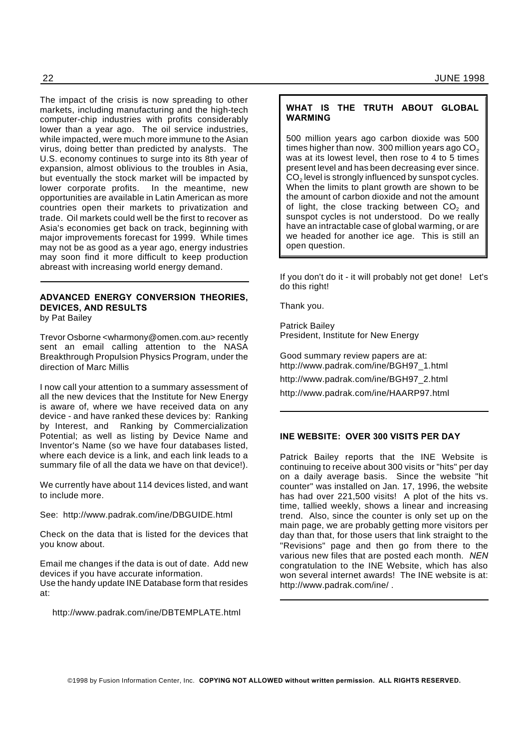The impact of the crisis is now spreading to other markets, including manufacturing and the high-tech computer-chip industries with profits considerably lower than a year ago. The oil service industries, while impacted, were much more immune to the Asian virus, doing better than predicted by analysts. The U.S. economy continues to surge into its 8th year of expansion, almost oblivious to the troubles in Asia, but eventually the stock market will be impacted by lower corporate profits. In the meantime, new opportunities are available in Latin American as more countries open their markets to privatization and trade. Oil markets could well be the first to recover as Asia's economies get back on track, beginning with major improvements forecast for 1999. While times may not be as good as a year ago, energy industries may soon find it more difficult to keep production abreast with increasing world energy demand.

#### **ADVANCED ENERGY CONVERSION THEORIES, DEVICES, AND RESULTS** by Pat Bailey

Trevor Osborne <wharmony@omen.com.au> recently sent an email calling attention to the NASA Breakthrough Propulsion Physics Program, under the direction of Marc Millis

I now call your attention to a summary assessment of all the new devices that the Institute for New Energy is aware of, where we have received data on any device - and have ranked these devices by: Ranking by Interest, and Ranking by Commercialization Potential; as well as listing by Device Name and Inventor's Name (so we have four databases listed, where each device is a link, and each link leads to a summary file of all the data we have on that device!).

We currently have about 114 devices listed, and want to include more.

See: http://www.padrak.com/ine/DBGUIDE.html

Check on the data that is listed for the devices that you know about.

Email me changes if the data is out of date. Add new devices if you have accurate information. Use the handy update INE Database form that resides at:

http://www.padrak.com/ine/DBTEMPLATE.html

#### **WHAT IS THE TRUTH ABOUT GLOBAL WARMING**

500 million years ago carbon dioxide was 500 times higher than now. 300 million years ago  $CO<sub>2</sub>$ was at its lowest level, then rose to 4 to 5 times present level and has been decreasing ever since.  $\mathsf{CO}_2$  level is strongly influenced by sunspot cycles. When the limits to plant growth are shown to be the amount of carbon dioxide and not the amount of light, the close tracking between  $CO<sub>2</sub>$  and sunspot cycles is not understood. Do we really have an intractable case of global warming, or are we headed for another ice age. This is still an open question.

If you don't do it - it will probably not get done! Let's do this right!

Thank you.

Patrick Bailey President, Institute for New Energy

Good summary review papers are at: http://www.padrak.com/ine/BGH97\_1.html

http://www.padrak.com/ine/BGH97\_2.html

http://www.padrak.com/ine/HAARP97.html

#### **INE WEBSITE: OVER 300 VISITS PER DAY**

Patrick Bailey reports that the INE Website is continuing to receive about 300 visits or "hits" per day on a daily average basis. Since the website "hit counter" was installed on Jan. 17, 1996, the website has had over 221,500 visits! A plot of the hits vs. time, tallied weekly, shows a linear and increasing trend. Also, since the counter is only set up on the main page, we are probably getting more visitors per day than that, for those users that link straight to the "Revisions" page and then go from there to the various new files that are posted each month. *NEN* congratulation to the INE Website, which has also won several internet awards! The INE website is at: http://www.padrak.com/ine/ .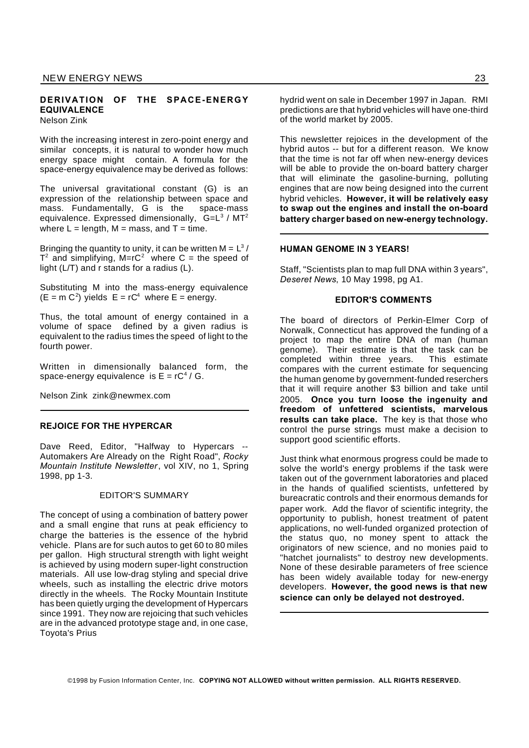#### **DERIVATION OF THE SPACE-ENERGY EQUIVALENCE**

Nelson Zink

With the increasing interest in zero-point energy and similar concepts, it is natural to wonder how much energy space might contain. A formula for the space-energy equivalence may be derived as follows:

The universal gravitational constant (G) is an expression of the relationship between space and mass. Fundamentally, G is the space-mass equivalence. Expressed dimensionally,  $G=L^3 / MT^2$ where  $L =$  length,  $M =$  mass, and  $T =$  time.

Bringing the quantity to unity, it can be written  $M = L^3 / L^2$  $T^2$  and simplifying, M=rC<sup>2</sup> where C = the speed of light (L/T) and r stands for a radius (L).

Substituting M into the mass-energy equivalence  $(E = m C<sup>2</sup>)$  yields  $E = rC<sup>4</sup>$  where  $E = energy$ .

Thus, the total amount of energy contained in a volume of space defined by a given radius is equivalent to the radius times the speed of light to the fourth power.

Written in dimensionally balanced form, the space-energy equivalence is  $E = rC<sup>4</sup>/G$ .

Nelson Zink zink@newmex.com

#### **REJOICE FOR THE HYPERCAR**

Dave Reed, Editor, "Halfway to Hypercars --Automakers Are Already on the Right Road", *Rocky Mountain Institute Newsletter*, vol XIV, no 1, Spring 1998, pp 1-3.

#### EDITOR'S SUMMARY

The concept of using a combination of battery power and a small engine that runs at peak efficiency to charge the batteries is the essence of the hybrid vehicle. Plans are for such autos to get 60 to 80 miles per gallon. High structural strength with light weight is achieved by using modern super-light construction materials. All use low-drag styling and special drive wheels, such as installing the electric drive motors directly in the wheels. The Rocky Mountain Institute has been quietly urging the development of Hypercars since 1991. They now are rejoicing that such vehicles are in the advanced prototype stage and, in one case, Toyota's Prius

hydrid went on sale in December 1997 in Japan. RMI predictions are that hybrid vehicles will have one-third of the world market by 2005.

This newsletter rejoices in the development of the hybrid autos -- but for a different reason. We know that the time is not far off when new-energy devices will be able to provide the on-board battery charger that will eliminate the gasoline-burning, polluting engines that are now being designed into the current hybrid vehicles. **However, it will be relatively easy to swap out the engines and install the on-board battery charger based on new-energy technology.**

#### **HUMAN GENOME IN 3 YEARS!**

Staff, "Scientists plan to map full DNA within 3 years", *Deseret News*, 10 May 1998, pg A1.

#### **EDITOR'S COMMENTS**

The board of directors of Perkin-Elmer Corp of Norwalk, Connecticut has approved the funding of a project to map the entire DNA of man (human genome). Their estimate is that the task can be completed within three years. This estimate compares with the current estimate for sequencing the human genome by government-funded reserchers that it will require another \$3 billion and take until 2005. **Once you turn loose the ingenuity and freedom of unfettered scientists, marvelous results can take place.** The key is that those who control the purse strings must make a decision to support good scientific efforts.

Just think what enormous progress could be made to solve the world's energy problems if the task were taken out of the government laboratories and placed in the hands of qualified scientists, unfettered by bureacratic controls and their enormous demands for paper work. Add the flavor of scientific integrity, the opportunity to publish, honest treatment of patent applications, no well-funded organized protection of the status quo, no money spent to attack the originators of new science, and no monies paid to "hatchet journalists" to destroy new developments. None of these desirable parameters of free science has been widely available today for new-energy developers. **However, the good news is that new science can only be delayed not destroyed.**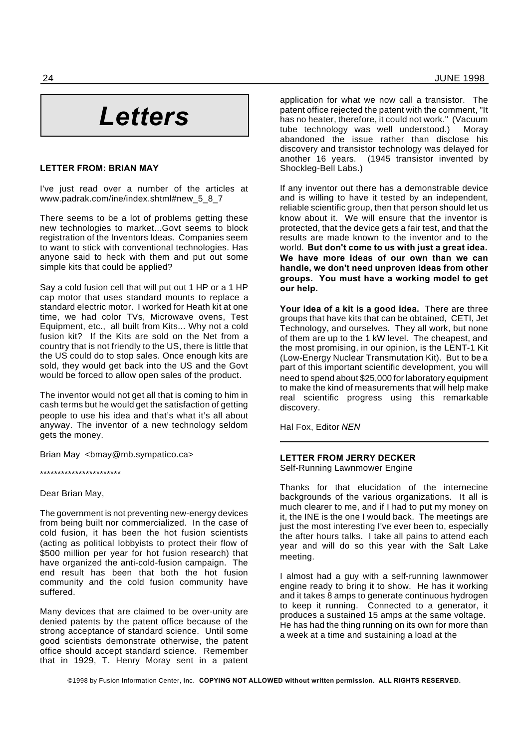# *Letters*

#### **LETTER FROM: BRIAN MAY**

I've just read over a number of the articles at www.padrak.com/ine/index.shtml#new\_5\_8\_7

There seems to be a lot of problems getting these new technologies to market...Govt seems to block registration of the Inventors Ideas. Companies seem to want to stick with conventional technologies. Has anyone said to heck with them and put out some simple kits that could be applied?

Say a cold fusion cell that will put out 1 HP or a 1 HP cap motor that uses standard mounts to replace a standard electric motor. I worked for Heath kit at one time, we had color TVs, Microwave ovens, Test Equipment, etc., all built from Kits... Why not a cold fusion kit? If the Kits are sold on the Net from a country that is not friendly to the US, there is little that the US could do to stop sales. Once enough kits are sold, they would get back into the US and the Govt would be forced to allow open sales of the product.

The inventor would not get all that is coming to him in cash terms but he would get the satisfaction of getting people to use his idea and that's what it's all about anyway. The inventor of a new technology seldom gets the money.

Brian May <bmay@mb.sympatico.ca>

\*\*\*\*\*\*\*\*\*\*\*\*\*\*\*\*\*\*\*\*\*\*\*

#### Dear Brian May,

The government is not preventing new-energy devices from being built nor commercialized. In the case of cold fusion, it has been the hot fusion scientists (acting as political lobbyists to protect their flow of \$500 million per year for hot fusion research) that have organized the anti-cold-fusion campaign. The end result has been that both the hot fusion community and the cold fusion community have suffered.

Many devices that are claimed to be over-unity are denied patents by the patent office because of the strong acceptance of standard science. Until some good scientists demonstrate otherwise, the patent office should accept standard science. Remember that in 1929, T. Henry Moray sent in a patent application for what we now call a transistor. The patent office rejected the patent with the comment, "It has no heater, therefore, it could not work." (Vacuum tube technology was well understood.) Moray abandoned the issue rather than disclose his discovery and transistor technology was delayed for another 16 years. (1945 transistor invented by Shockleg-Bell Labs.)

If any inventor out there has a demonstrable device and is willing to have it tested by an independent, reliable scientific group, then that person should let us know about it. We will ensure that the inventor is protected, that the device gets a fair test, and that the results are made known to the inventor and to the world. **But don't come to us with just a great idea. We have more ideas of our own than we can handle, we don't need unproven ideas from other groups. You must have a working model to get our help.**

**Your idea of a kit is a good idea.** There are three groups that have kits that can be obtained, CETI, Jet Technology, and ourselves. They all work, but none of them are up to the 1 kW level. The cheapest, and the most promising, in our opinion, is the LENT-1 Kit (Low-Energy Nuclear Transmutation Kit). But to be a part of this important scientific development, you will need to spend about \$25,000 for laboratory equipment to make the kind of measurements that will help make real scientific progress using this remarkable discovery.

Hal Fox, Editor *NEN*

#### **LETTER FROM JERRY DECKER**

Self-Running Lawnmower Engine

Thanks for that elucidation of the internecine backgrounds of the various organizations. It all is much clearer to me, and if I had to put my money on it, the INE is the one I would back. The meetings are just the most interesting I've ever been to, especially the after hours talks. I take all pains to attend each year and will do so this year with the Salt Lake meeting.

I almost had a guy with a self-running lawnmower engine ready to bring it to show. He has it working and it takes 8 amps to generate continuous hydrogen to keep it running. Connected to a generator, it produces a sustained 15 amps at the same voltage. He has had the thing running on its own for more than a week at a time and sustaining a load at the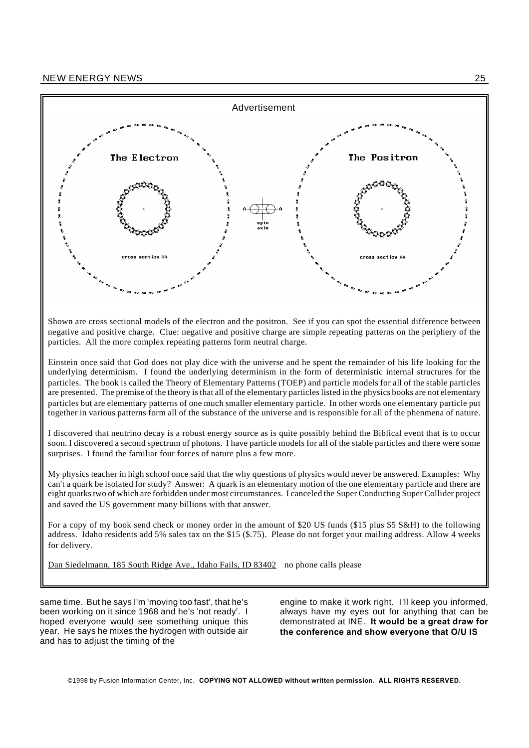

Shown are cross sectional models of the electron and the positron. See if you can spot the essential difference between negative and positive charge. Clue: negative and positive charge are simple repeating patterns on the periphery of the particles. All the more complex repeating patterns form neutral charge.

Einstein once said that God does not play dice with the universe and he spent the remainder of his life looking for the underlying determinism. I found the underlying determinism in the form of deterministic internal structures for the particles. The book is called the Theory of Elementary Patterns (TOEP) and particle models for all of the stable particles are presented. The premise of the theory is that all of the elementary particles listed in the physics books are not elementary particles but are elementary patterns of one much smaller elementary particle. In other words one elementary particle put together in various patterns form all of the substance of the universe and is responsible for all of the phenmena of nature.

I discovered that neutrino decay is a robust energy source as is quite possibly behind the Biblical event that is to occur soon. I discovered a second spectrum of photons. I have particle models for all of the stable particles and there were some surprises. I found the familiar four forces of nature plus a few more.

My physics teacher in high school once said that the why questions of physics would never be answered. Examples: Why can't a quark be isolated for study? Answer: A quark is an elementary motion of the one elementary particle and there are eight quarks two of which are forbidden under most circumstances. I canceled the Super Conducting Super Collider project and saved the US government many billions with that answer.

For a copy of my book send check or money order in the amount of \$20 US funds (\$15 plus \$5 S&H) to the following address. Idaho residents add 5% sales tax on the \$15 (\$.75). Please do not forget your mailing address. Allow 4 weeks for delivery.

Dan Siedelmann, 185 South Ridge Ave., Idaho Fails, ID 83402 no phone calls please

same time. But he says I'm 'moving too fast', that he's been working on it since 1968 and he's 'not ready'. I hoped everyone would see something unique this year. He says he mixes the hydrogen with outside air and has to adjust the timing of the

engine to make it work right. I'll keep you informed, always have my eyes out for anything that can be demonstrated at INE. **It would be a great draw for the conference and show everyone that O/U IS**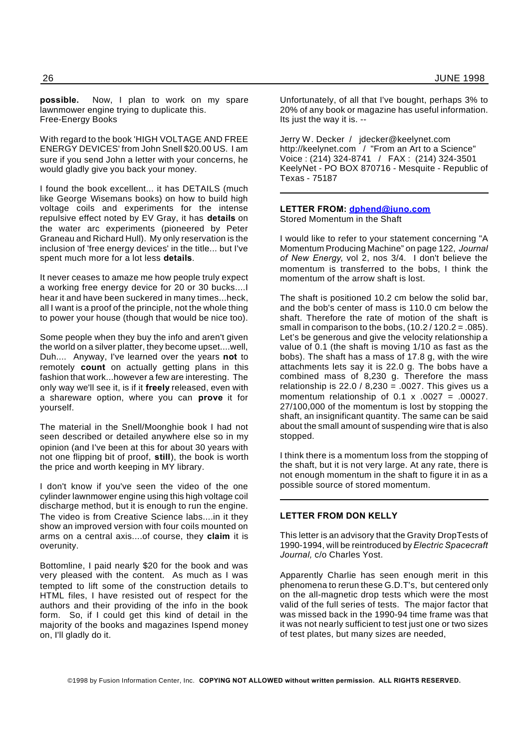**possible.** Now, I plan to work on my spare lawnmower engine trying to duplicate this. Free-Energy Books

With regard to the book 'HIGH VOLTAGE AND FREE ENERGY DEVICES' from John Snell \$20.00 US. I am sure if you send John a letter with your concerns, he would gladly give you back your money.

I found the book excellent... it has DETAILS (much like George Wisemans books) on how to build high voltage coils and experiments for the intense repulsive effect noted by EV Gray, it has **details** on the water arc experiments (pioneered by Peter Graneau and Richard Hull). My only reservation is the inclusion of 'free energy devices' in the title... but I've spent much more for a lot less **details**.

It never ceases to amaze me how people truly expect a working free energy device for 20 or 30 bucks....I hear it and have been suckered in many times...heck, all I want is a proof of the principle, not the whole thing to power your house (though that would be nice too).

Some people when they buy the info and aren't given the world on a silver platter, they become upset....well, Duh.... Anyway, I've learned over the years **not** to remotely **count** on actually getting plans in this fashion that work...however a few are interesting. The only way we'll see it, is if it **freely** released, even with a shareware option, where you can **prove** it for yourself.

The material in the Snell/Moonghie book I had not seen described or detailed anywhere else so in my opinion (and I've been at this for about 30 years with not one flipping bit of proof, **still**), the book is worth the price and worth keeping in MY library.

I don't know if you've seen the video of the one cylinder lawnmower engine using this high voltage coil discharge method, but it is enough to run the engine. The video is from Creative Science labs....in it they show an improved version with four coils mounted on arms on a central axis....of course, they **claim** it is overunity.

Bottomline, I paid nearly \$20 for the book and was very pleased with the content. As much as I was tempted to lift some of the construction details to HTML files, I have resisted out of respect for the authors and their providing of the info in the book form. So, if I could get this kind of detail in the majority of the books and magazines Ispend money on, I'll gladly do it.

Unfortunately, of all that I've bought, perhaps 3% to 20% of any book or magazine has useful information. Its just the way it is. --

Jerry W. Decker / jdecker@keelynet.com http://keelynet.com / "From an Art to a Science" Voice : (214) 324-8741 / FAX : (214) 324-3501 KeelyNet - PO BOX 870716 - Mesquite - Republic of Texas - 75187

#### **LETTER FROM: dphend@juno.com** Stored Momentum in the Shaft

I would like to refer to your statement concerning "A Momentum Producing Machine" on page 122, *Journal of New Energy*, vol 2, nos 3/4. I don't believe the momentum is transferred to the bobs, I think the momentum of the arrow shaft is lost.

The shaft is positioned 10.2 cm below the solid bar, and the bob's center of mass is 110.0 cm below the shaft. Therefore the rate of motion of the shaft is small in comparison to the bobs,  $(10.2 / 120.2 = .085)$ . Let's be generous and give the velocity relationship a value of 0.1 (the shaft is moving 1/10 as fast as the bobs). The shaft has a mass of 17.8 g, with the wire attachments lets say it is 22.0 g. The bobs have a combined mass of 8,230 g. Therefore the mass relationship is  $22.0 / 8.230 = .0027$ . This gives us a momentum relationship of  $0.1 \times 0.027 = 0.00027$ . 27/100,000 of the momentum is lost by stopping the shaft, an insignificant quantity. The same can be said about the small amount of suspending wire that is also stopped.

I think there is a momentum loss from the stopping of the shaft, but it is not very large. At any rate, there is not enough momentum in the shaft to figure it in as a possible source of stored momentum.

#### **LETTER FROM DON KELLY**

This letter is an advisory that the Gravity DropTests of 1990-1994, will be reintroduced by*Electric Spacecraft Journal,* c/o Charles Yost.

Apparently Charlie has seen enough merit in this phenomena to rerun these G.D.T's, but centered only on the all-magnetic drop tests which were the most valid of the full series of tests. The major factor that was missed back in the 1990-94 time frame was that it was not nearly sufficient to test just one or two sizes of test plates, but many sizes are needed,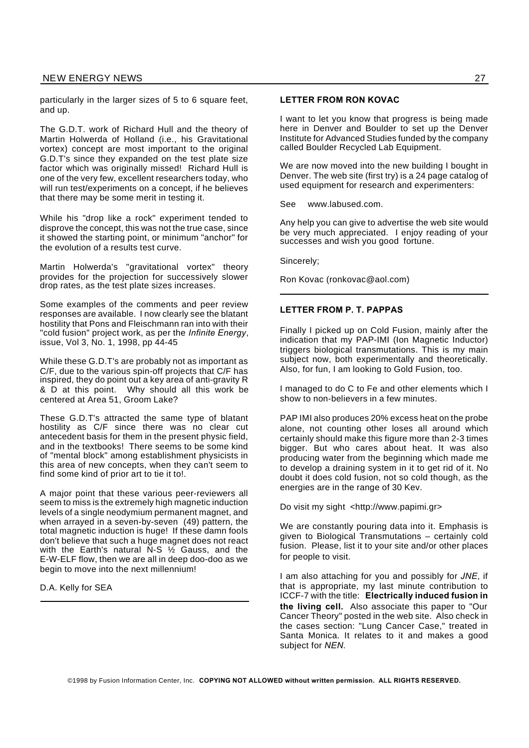particularly in the larger sizes of 5 to 6 square feet, and up.

The G.D.T. work of Richard Hull and the theory of Martin Holwerda of Holland (i.e., his Gravitational vortex) concept are most important to the original G.D.T's since they expanded on the test plate size factor which was originally missed! Richard Hull is one of the very few, excellent researchers today, who will run test/experiments on a concept, if he believes that there may be some merit in testing it.

While his "drop like a rock" experiment tended to disprove the concept, this was not the true case, since it showed the starting point, or minimum "anchor" for the evolution of a results test curve.

Martin Holwerda's "gravitational vortex" theory provides for the projection for successively slower drop rates, as the test plate sizes increases.

Some examples of the comments and peer review responses are available. I now clearly see the blatant hostility that Pons and Fleischmann ran into with their "cold fusion" project work, as per the *Infinite Energy*, issue, Vol 3, No. 1, 1998, pp 44-45

While these G.D.T's are probably not as important as C/F, due to the various spin-off projects that C/F has inspired, they do point out a key area of anti-gravity R & D at this point. Why should all this work be centered at Area 51, Groom Lake?

These G.D.T's attracted the same type of blatant hostility as C/F since there was no clear cut antecedent basis for them in the present physic field, and in the textbooks! There seems to be some kind of "mental block" among establishment physicists in this area of new concepts, when they can't seem to find some kind of prior art to tie it to!.

A major point that these various peer-reviewers all seem to miss is the extremely high magnetic induction levels of a single neodymium permanent magnet, and when arrayed in a seven-by-seven (49) pattern, the total magnetic induction is huge! If these damn fools don't believe that such a huge magnet does not react with the Earth's natural  $N-S$   $\frac{1}{2}$  Gauss, and the E-W-ELF flow, then we are all in deep doo-doo as we begin to move into the next millennium!

D.A. Kelly for SEA

#### **LETTER FROM RON KOVAC**

I want to let you know that progress is being made here in Denver and Boulder to set up the Denver Institute for Advanced Studies funded by the company called Boulder Recycled Lab Equipment.

We are now moved into the new building I bought in Denver. The web site (first try) is a 24 page catalog of used equipment for research and experimenters:

See www.labused.com.

Any help you can give to advertise the web site would be very much appreciated. I enjoy reading of your successes and wish you good fortune.

Sincerely;

Ron Kovac (ronkovac@aol.com)

#### **LETTER FROM P. T. PAPPAS**

Finally I picked up on Cold Fusion, mainly after the indication that my PAP-IMI (Ion Magnetic Inductor) triggers biological transmutations. This is my main subject now, both experimentally and theoretically. Also, for fun, I am looking to Gold Fusion, too.

I managed to do C to Fe and other elements which I show to non-believers in a few minutes.

PAP IMI also produces 20% excess heat on the probe alone, not counting other loses all around which certainly should make this figure more than 2-3 times bigger. But who cares about heat. It was also producing water from the beginning which made me to develop a draining system in it to get rid of it. No doubt it does cold fusion, not so cold though, as the energies are in the range of 30 Kev.

Do visit my sight <http://www.papimi.gr>

We are constantly pouring data into it. Emphasis is given to Biological Transmutations – certainly cold fusion. Please, list it to your site and/or other places for people to visit.

I am also attaching for you and possibly for *JNE*, if that is appropriate, my last minute contribution to ICCF-7 with the title: **Electrically induced fusion in the living cell.** Also associate this paper to "Our Cancer Theory" posted in the web site. Also check in the cases section: "Lung Cancer Case," treated in Santa Monica. It relates to it and makes a good subject for *NEN*.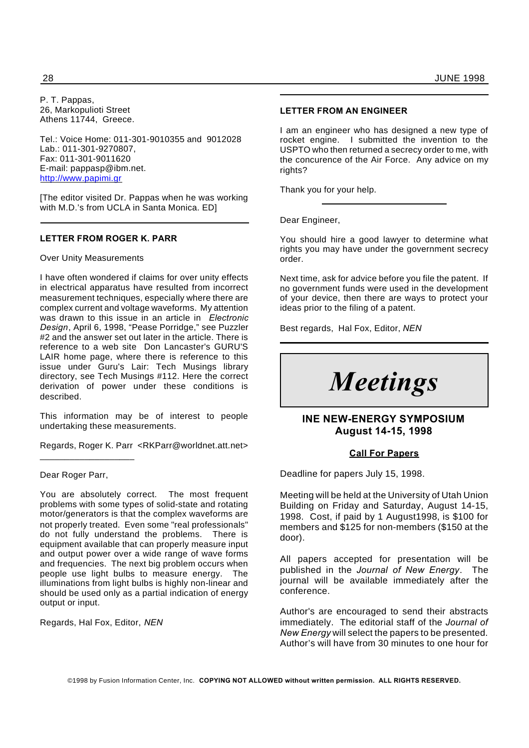P. T. Pappas, 26, Markopulioti Street Athens 11744, Greece.

Tel.: Voice Home: 011-301-9010355 and 9012028 Lab.: 011-301-9270807, Fax: 011-301-9011620 E-mail: pappasp@ibm.net. http://www.papimi.gr

[The editor visited Dr. Pappas when he was working with M.D.'s from UCLA in Santa Monica. ED]

#### **LETTER FROM ROGER K. PARR**

#### Over Unity Measurements

I have often wondered if claims for over unity effects in electrical apparatus have resulted from incorrect measurement techniques, especially where there are complex current and voltage waveforms. My attention was drawn to this issue in an article in *Electronic Design*, April 6, 1998, "Pease Porridge," see Puzzler #2 and the answer set out later in the article. There is reference to a web site Don Lancaster's GURU'S LAIR home page, where there is reference to this issue under Guru's Lair: Tech Musings library directory, see Tech Musings #112. Here the correct derivation of power under these conditions is described.

This information may be of interest to people undertaking these measurements.

Regards, Roger K. Parr <RKParr@worldnet.att.net>

Dear Roger Parr,

\_\_\_\_\_\_\_\_\_\_\_\_\_\_\_\_\_\_\_

You are absolutely correct. The most frequent problems with some types of solid-state and rotating motor/generators is that the complex waveforms are not properly treated. Even some "real professionals" do not fully understand the problems. There is equipment available that can properly measure input and output power over a wide range of wave forms and frequencies. The next big problem occurs when people use light bulbs to measure energy. The illuminations from light bulbs is highly non-linear and should be used only as a partial indication of energy output or input.

Regards, Hal Fox, Editor, *NEN*

#### **LETTER FROM AN ENGINEER**

I am an engineer who has designed a new type of rocket engine. I submitted the invention to the USPTO who then returned a secrecy order to me, with the concurence of the Air Force. Any advice on my rights?

Thank you for your help.

Dear Engineer,

You should hire a good lawyer to determine what rights you may have under the government secrecy order.

Next time, ask for advice before you file the patent. If no government funds were used in the development of your device, then there are ways to protect your ideas prior to the filing of a patent.

Best regards, Hal Fox, Editor, *NEN*

# *Meetings*

#### **INE NEW-ENERGY SYMPOSIUM August 14-15, 1998**

#### **Call For Papers**

Deadline for papers July 15, 1998.

Meeting will be held at the University of Utah Union Building on Friday and Saturday, August 14-15, 1998. Cost, if paid by 1 August1998, is \$100 for members and \$125 for non-members (\$150 at the door).

All papers accepted for presentation will be published in the *Journal of New Energy*. The journal will be available immediately after the conference.

Author's are encouraged to send their abstracts immediately. The editorial staff of the *Journal of New Energy* will select the papers to be presented. Author's will have from 30 minutes to one hour for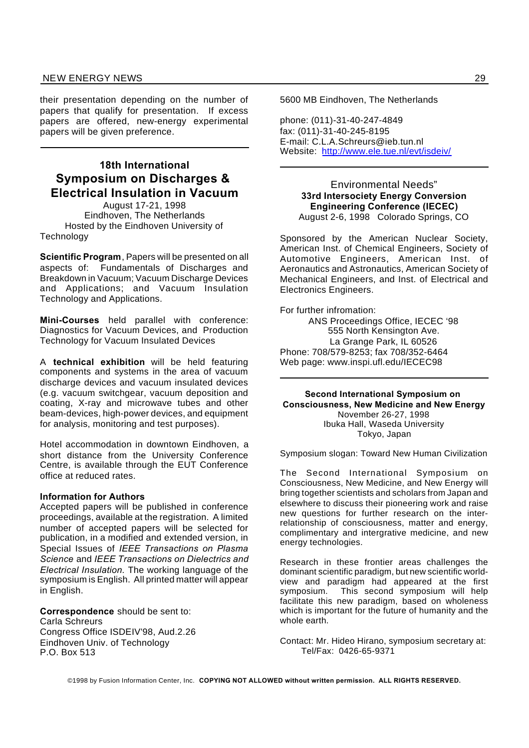their presentation depending on the number of papers that qualify for presentation. If excess papers are offered, new-energy experimental papers will be given preference.

### **18th International Symposium on Discharges & Electrical Insulation in Vacuum**

August 17-21, 1998 Eindhoven, The Netherlands Hosted by the Eindhoven University of **Technology** 

**Scientific Program**, Papers will be presented on all aspects of: Fundamentals of Discharges and Breakdown in Vacuum; Vacuum Discharge Devices and Applications; and Vacuum Insulation Technology and Applications.

**Mini-Courses** held parallel with conference: Diagnostics for Vacuum Devices, and Production Technology for Vacuum Insulated Devices

A **technical exhibition** will be held featuring components and systems in the area of vacuum discharge devices and vacuum insulated devices (e.g. vacuum switchgear, vacuum deposition and coating, X-ray and microwave tubes and other beam-devices, high-power devices, and equipment for analysis, monitoring and test purposes).

Hotel accommodation in downtown Eindhoven, a short distance from the University Conference Centre, is available through the EUT Conference office at reduced rates.

#### **Information for Authors**

Accepted papers will be published in conference proceedings, available at the registration. A limited number of accepted papers will be selected for publication, in a modified and extended version, in Special Issues of *IEEE Transactions on Plasma Science* and *IEEE Transactions on Dielectrics and Electrical Insulation.* The working language of the symposium is English. All printed matter will appear in English.

**Correspondence** should be sent to: Carla Schreurs Congress Office ISDEIV'98, Aud.2.26 Eindhoven Univ. of Technology P.O. Box 513

5600 MB Eindhoven, The Netherlands

phone: (011)-31-40-247-4849 fax: (011)-31-40-245-8195 E-mail: C.L.A.Schreurs@ieb.tun.nl Website: http://www.ele.tue.nl/evt/isdeiv/

> Environmental Needs" **33rd Intersociety Energy Conversion Engineering Conference (IECEC)** August 2-6, 1998 Colorado Springs, CO

Sponsored by the American Nuclear Society, American Inst. of Chemical Engineers, Society of Automotive Engineers, American Inst. of Aeronautics and Astronautics, American Society of Mechanical Engineers, and Inst. of Electrical and Electronics Engineers.

For further infromation: ANS Proceedings Office, IECEC '98 555 North Kensington Ave. La Grange Park, IL 60526 Phone: 708/579-8253; fax 708/352-6464 Web page: www.inspi.ufl.edu/IECEC98

**Second International Symposium on Consciousness, New Medicine and New Energy** November 26-27, 1998 Ibuka Hall, Waseda University Tokyo, Japan

Symposium slogan: Toward New Human Civilization

The Second International Symposium on Consciousness, New Medicine, and New Energy will bring together scientists and scholars from Japan and elsewhere to discuss their pioneering work and raise new questions for further research on the interrelationship of consciousness, matter and energy, complimentary and intergrative medicine, and new energy technologies.

Research in these frontier areas challenges the dominant scientific paradigm, but new scientific worldview and paradigm had appeared at the first symposium. This second symposium will help facilitate this new paradigm, based on wholeness which is important for the future of humanity and the whole earth.

Contact: Mr. Hideo Hirano, symposium secretary at: Tel/Fax: 0426-65-9371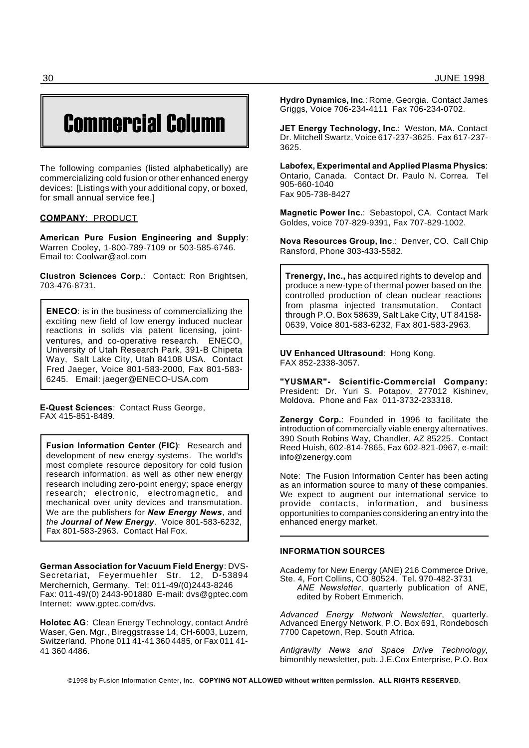# Commercial Column

The following companies (listed alphabetically) are commercializing cold fusion or other enhanced energy devices: [Listings with your additional copy, or boxed, for small annual service fee.]

#### **COMPANY**: PRODUCT

**American Pure Fusion Engineering and Supply**: Warren Cooley, 1-800-789-7109 or 503-585-6746. Email to: Coolwar@aol.com

**Clustron Sciences Corp.**: Contact: Ron Brightsen, 703-476-8731.

**ENECO**: is in the business of commercializing the exciting new field of low energy induced nuclear reactions in solids via patent licensing, jointventures, and co-operative research. ENECO, University of Utah Research Park, 391-B Chipeta Way, Salt Lake City, Utah 84108 USA. Contact Fred Jaeger, Voice 801-583-2000, Fax 801-583- 6245. Email: jaeger@ENECO-USA.com

**E-Quest Sciences**: Contact Russ George, FAX 415-851-8489.

**Fusion Information Center (FIC)**: Research and development of new energy systems. The world's most complete resource depository for cold fusion research information, as well as other new energy research including zero-point energy; space energy research; electronic, electromagnetic, and mechanical over unity devices and transmutation. We are the publishers for *New Energy News*, and *the Journal of New Energy.* Voice 801-583-6232, Fax 801-583-2963. Contact Hal Fox.

**German Association for Vacuum Field Energy**: DVS-Secretariat, Feyermuehler Str. 12, D-53894 Merchernich, Germany. Tel: 011-49/(0)2443-8246 Fax: 011-49/(0) 2443-901880 E-mail: dvs@gptec.com Internet: www.gptec.com/dvs.

**Holotec AG**: Clean Energy Technology, contact André Waser, Gen. Mgr., Bireggstrasse 14, CH-6003, Luzern, Switzerland. Phone 011 41-41 360 4485, or Fax 011 41- 41 360 4486.

**Hydro Dynamics, Inc**.: Rome, Georgia. Contact James Griggs, Voice 706-234-4111 Fax 706-234-0702.

**JET Energy Technology, Inc.**: Weston, MA. Contact Dr. Mitchell Swartz, Voice 617-237-3625. Fax 617-237- 3625.

**Labofex, Experimental and Applied Plasma Physics**: Ontario, Canada. Contact Dr. Paulo N. Correa. Tel 905-660-1040 Fax 905-738-8427

**Magnetic Power Inc.**: Sebastopol, CA. Contact Mark Goldes, voice 707-829-9391, Fax 707-829-1002.

**Nova Resources Group, Inc**.: Denver, CO. Call Chip Ransford, Phone 303-433-5582.

**Trenergy, Inc.,** has acquired rights to develop and produce a new-type of thermal power based on the controlled production of clean nuclear reactions from plasma injected transmutation. Contact through P.O. Box 58639, Salt Lake City, UT 84158- 0639, Voice 801-583-6232, Fax 801-583-2963.

**UV Enhanced Ultrasound**: Hong Kong. FAX 852-2338-3057.

**"YUSMAR"- Scientific-Commercial Company:** President: Dr. Yuri S. Potapov, 277012 Kishinev, Moldova. Phone and Fax 011-3732-233318.

**Zenergy Corp.**: Founded in 1996 to facilitate the introduction of commercially viable energy alternatives. 390 South Robins Way, Chandler, AZ 85225. Contact Reed Huish, 602-814-7865, Fax 602-821-0967, e-mail: info@zenergy.com

Note: The Fusion Information Center has been acting as an information source to many of these companies. We expect to augment our international service to provide contacts, information, and business opportunities to companies considering an entry into the enhanced energy market.

#### **INFORMATION SOURCES**

Academy for New Energy (ANE) 216 Commerce Drive, Ste. 4, Fort Collins, CO 80524. Tel. 970-482-3731

*ANE Newsletter*, quarterly publication of ANE, edited by Robert Emmerich.

*Advanced Energy Network Newsletter*, quarterly. Advanced Energy Network, P.O. Box 691, Rondebosch 7700 Capetown, Rep. South Africa.

*Antigravity News and Space Drive Technology*, bimonthly newsletter, pub. J.E.Cox Enterprise, P.O. Box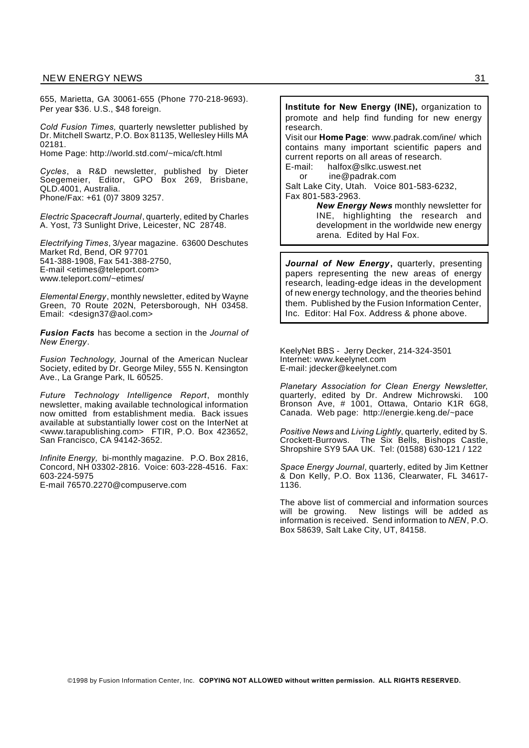655, Marietta, GA 30061-655 (Phone 770-218-9693). Per year \$36. U.S., \$48 foreign.

*Cold Fusion Times,* quarterly newsletter published by Dr. Mitchell Swartz, P.O. Box 81135, Wellesley Hills MA 02181.

Home Page: http://world.std.com/~mica/cft.html

*Cycles*, a R&D newsletter, published by Dieter Soegemeier, Editor, GPO Box 269, Brisbane, QLD.4001, Australia. Phone/Fax: +61 (0)7 3809 3257.

*Electric Spacecraft Journal*, quarterly, edited by Charles A. Yost, 73 Sunlight Drive, Leicester, NC 28748.

*Electrifying Times*, 3/year magazine. 63600 Deschutes Market Rd, Bend, OR 97701 541-388-1908, Fax 541-388-2750, E-mail <etimes@teleport.com> www.teleport.com/~etimes/

*Elemental Energy*, monthly newsletter, edited by Wayne Green, 70 Route 202N, Petersborough, NH 03458. Email: <design37@aol.com>

*Fusion Facts* has become a section in the *Journal of New Energy*.

*Fusion Technology,* Journal of the American Nuclear Society, edited by Dr. George Miley, 555 N. Kensington Ave., La Grange Park, IL 60525.

*Future Technology Intelligence Report*, monthly newsletter, making available technological information now omitted from establishment media. Back issues available at substantially lower cost on the InterNet at <www.tarapublishing.com> FTIR, P.O. Box 423652, San Francisco, CA 94142-3652.

*Infinite Energy,* bi-monthly magazine. P.O. Box 2816, Concord, NH 03302-2816. Voice: 603-228-4516. Fax: 603-224-5975

E-mail 76570.2270@compuserve.com

**Institute for New Energy (INE),** organization to promote and help find funding for new energy research.

Visit our **Home Page**: www.padrak.com/ine/ which contains many important scientific papers and current reports on all areas of research. E-mail: halfox@slkc.uswest.net

or ine@padrak.com Salt Lake City, Utah. Voice 801-583-6232,

Fax 801-583-2963.

*New Energy News* monthly newsletter for INE, highlighting the research and development in the worldwide new energy arena. Edited by Hal Fox.

*Journal of New Energy***,** quarterly, presenting papers representing the new areas of energy research, leading-edge ideas in the development of new energy technology, and the theories behind them. Published by the Fusion Information Center, Inc. Editor: Hal Fox. Address & phone above.

KeelyNet BBS - Jerry Decker, 214-324-3501 Internet: www.keelynet.com E-mail: jdecker@keelynet.com

*Planetary Association for Clean Energy Newsletter*, quarterly, edited by Dr. Andrew Michrowski. 100 Bronson Ave, # 1001, Ottawa, Ontario K1R 6G8, Canada. Web page: http://energie.keng.de/~pace

*Positive News* and *Living Lightly*, quarterly, edited by S. Crockett-Burrows. The Six Bells, Bishops Castle, Shropshire SY9 5AA UK. Tel: (01588) 630-121 / 122

*Space Energy Journal*, quarterly, edited by Jim Kettner & Don Kelly, P.O. Box 1136, Clearwater, FL 34617- 1136.

The above list of commercial and information sources<br>will be growing. New listings will be added as New listings will be added as information is received. Send information to *NEN*, P.O. Box 58639, Salt Lake City, UT, 84158.